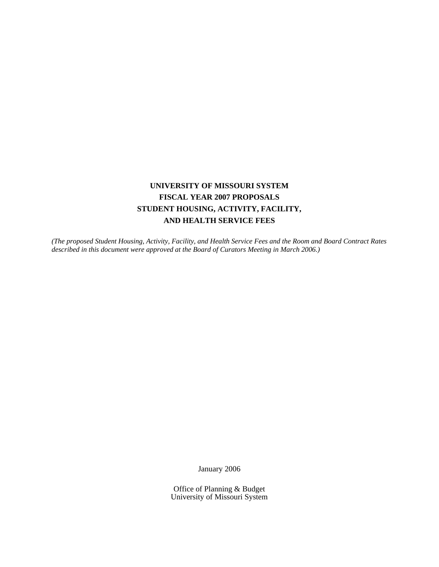# **UNIVERSITY OF MISSOURI SYSTEM FISCAL YEAR 2007 PROPOSALS STUDENT HOUSING, ACTIVITY, FACILITY, AND HEALTH SERVICE FEES**

*(The proposed Student Housing, Activity, Facility, and Health Service Fees and the Room and Board Contract Rates described in this document were approved at the Board of Curators Meeting in March 2006.)* 

January 2006

Office of Planning & Budget University of Missouri System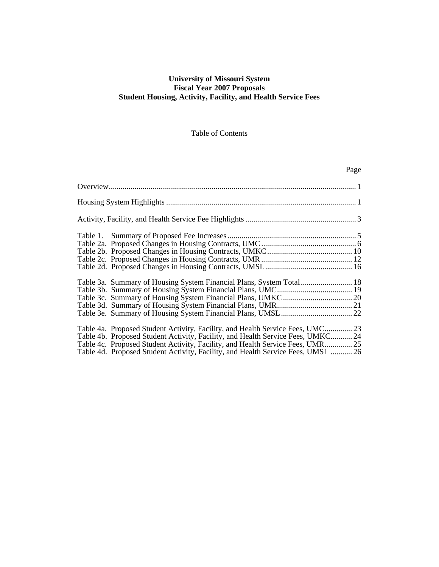### **University of Missouri System Fiscal Year 2007 Proposals Student Housing, Activity, Facility, and Health Service Fees**

### Table of Contents

| Page                                                                             |
|----------------------------------------------------------------------------------|
|                                                                                  |
|                                                                                  |
|                                                                                  |
|                                                                                  |
|                                                                                  |
|                                                                                  |
|                                                                                  |
|                                                                                  |
| Table 3a. Summary of Housing System Financial Plans, System Total 18             |
|                                                                                  |
|                                                                                  |
|                                                                                  |
|                                                                                  |
| Table 4a. Proposed Student Activity, Facility, and Health Service Fees, UMC 23   |
| Table 4b. Proposed Student Activity, Facility, and Health Service Fees, UMKC 24  |
| Table 4c. Proposed Student Activity, Facility, and Health Service Fees, UMR 25   |
| Table 4d. Proposed Student Activity, Facility, and Health Service Fees, UMSL  26 |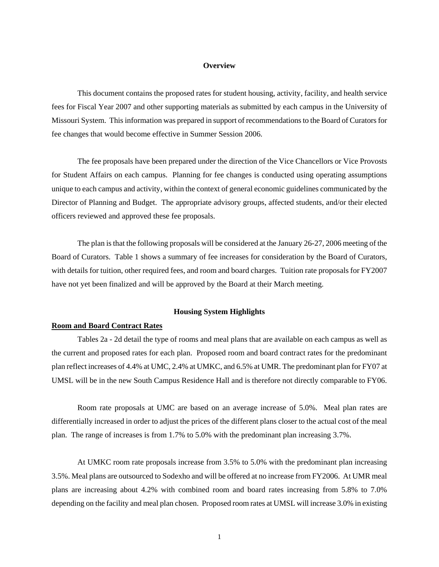#### **Overview**

This document contains the proposed rates for student housing, activity, facility, and health service fees for Fiscal Year 2007 and other supporting materials as submitted by each campus in the University of Missouri System. This information was prepared in support of recommendations to the Board of Curators for fee changes that would become effective in Summer Session 2006.

The fee proposals have been prepared under the direction of the Vice Chancellors or Vice Provosts for Student Affairs on each campus. Planning for fee changes is conducted using operating assumptions unique to each campus and activity, within the context of general economic guidelines communicated by the Director of Planning and Budget. The appropriate advisory groups, affected students, and/or their elected officers reviewed and approved these fee proposals.

The plan is that the following proposals will be considered at the January 26-27, 2006 meeting of the Board of Curators. Table 1 shows a summary of fee increases for consideration by the Board of Curators, with details for tuition, other required fees, and room and board charges. Tuition rate proposals for FY2007 have not yet been finalized and will be approved by the Board at their March meeting.

### **Housing System Highlights**

#### **Room and Board Contract Rates**

 Tables 2a - 2d detail the type of rooms and meal plans that are available on each campus as well as the current and proposed rates for each plan. Proposed room and board contract rates for the predominant plan reflect increases of 4.4% at UMC, 2.4% at UMKC, and 6.5% at UMR. The predominant plan for FY07 at UMSL will be in the new South Campus Residence Hall and is therefore not directly comparable to FY06.

 Room rate proposals at UMC are based on an average increase of 5.0%. Meal plan rates are differentially increased in order to adjust the prices of the different plans closer to the actual cost of the meal plan. The range of increases is from 1.7% to 5.0% with the predominant plan increasing 3.7%.

 At UMKC room rate proposals increase from 3.5% to 5.0% with the predominant plan increasing 3.5%. Meal plans are outsourced to Sodexho and will be offered at no increase from FY2006. At UMR meal plans are increasing about 4.2% with combined room and board rates increasing from 5.8% to 7.0% depending on the facility and meal plan chosen. Proposed room rates at UMSL will increase 3.0% in existing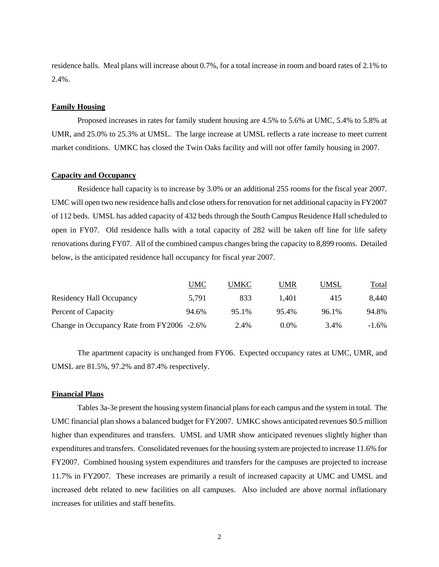residence halls. Meal plans will increase about 0.7%, for a total increase in room and board rates of 2.1% to 2.4%.

### **Family Housing**

Proposed increases in rates for family student housing are 4.5% to 5.6% at UMC, 5.4% to 5.8% at UMR, and 25.0% to 25.3% at UMSL. The large increase at UMSL reflects a rate increase to meet current market conditions. UMKC has closed the Twin Oaks facility and will not offer family housing in 2007.

### **Capacity and Occupancy**

 Residence hall capacity is to increase by 3.0% or an additional 255 rooms for the fiscal year 2007. UMC will open two new residence halls and close others for renovation for net additional capacity in FY2007 of 112 beds. UMSL has added capacity of 432 beds through the South Campus Residence Hall scheduled to open in FY07. Old residence halls with a total capacity of 282 will be taken off line for life safety renovations during FY07. All of the combined campus changes bring the capacity to 8,899 rooms. Detailed below, is the anticipated residence hall occupancy for fiscal year 2007.

|                                            | UMC   | UMKC  | UMR     | UMSL  | Total    |
|--------------------------------------------|-------|-------|---------|-------|----------|
| Residency Hall Occupancy                   | 5.791 | 833   | 1.401   | 415   | 8,440    |
| Percent of Capacity                        | 94.6% | 95.1% | 95.4%   | 96.1% | 94.8%    |
| Change in Occupancy Rate from FY2006 -2.6% |       | 2.4%  | $0.0\%$ | 3.4%  | $-1.6\%$ |

 The apartment capacity is unchanged from FY06. Expected occupancy rates at UMC, UMR, and UMSL are 81.5%, 97.2% and 87.4% respectively.

### **Financial Plans**

 Tables 3a-3e present the housing system financial plans for each campus and the system in total. The UMC financial plan shows a balanced budget for FY2007. UMKC shows anticipated revenues \$0.5 million higher than expenditures and transfers. UMSL and UMR show anticipated revenues slightly higher than expenditures and transfers. Consolidated revenues for the housing system are projected to increase 11.6% for FY2007. Combined housing system expenditures and transfers for the campuses are projected to increase 11.7% in FY2007. These increases are primarily a result of increased capacity at UMC and UMSL and increased debt related to new facilities on all campuses. Also included are above normal inflationary increases for utilities and staff benefits.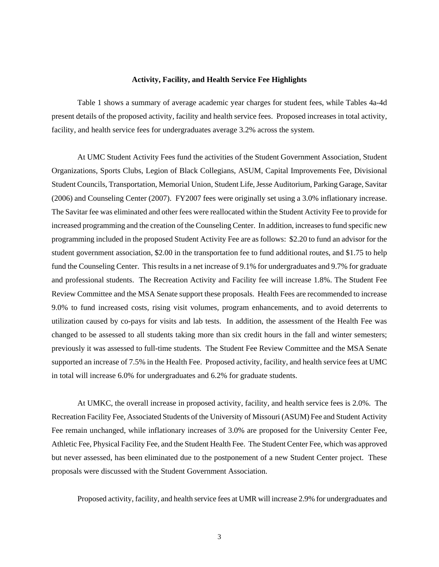#### **Activity, Facility, and Health Service Fee Highlights**

 Table 1 shows a summary of average academic year charges for student fees, while Tables 4a-4d present details of the proposed activity, facility and health service fees. Proposed increases in total activity, facility, and health service fees for undergraduates average 3.2% across the system.

At UMC Student Activity Fees fund the activities of the Student Government Association, Student Organizations, Sports Clubs, Legion of Black Collegians, ASUM, Capital Improvements Fee, Divisional Student Councils, Transportation, Memorial Union, Student Life, Jesse Auditorium, Parking Garage, Savitar (2006) and Counseling Center (2007). FY2007 fees were originally set using a 3.0% inflationary increase. The Savitar fee was eliminated and other fees were reallocated within the Student Activity Fee to provide for increased programming and the creation of the Counseling Center. In addition, increases to fund specific new programming included in the proposed Student Activity Fee are as follows: \$2.20 to fund an advisor for the student government association, \$2.00 in the transportation fee to fund additional routes, and \$1.75 to help fund the Counseling Center. This results in a net increase of 9.1% for undergraduates and 9.7% for graduate and professional students. The Recreation Activity and Facility fee will increase 1.8%. The Student Fee Review Committee and the MSA Senate support these proposals. Health Fees are recommended to increase 9.0% to fund increased costs, rising visit volumes, program enhancements, and to avoid deterrents to utilization caused by co-pays for visits and lab tests. In addition, the assessment of the Health Fee was changed to be assessed to all students taking more than six credit hours in the fall and winter semesters; previously it was assessed to full-time students. The Student Fee Review Committee and the MSA Senate supported an increase of 7.5% in the Health Fee. Proposed activity, facility, and health service fees at UMC in total will increase 6.0% for undergraduates and 6.2% for graduate students.

At UMKC, the overall increase in proposed activity, facility, and health service fees is 2.0%. The Recreation Facility Fee, Associated Students of the University of Missouri (ASUM) Fee and Student Activity Fee remain unchanged, while inflationary increases of 3.0% are proposed for the University Center Fee, Athletic Fee, Physical Facility Fee, and the Student Health Fee. The Student Center Fee, which was approved but never assessed, has been eliminated due to the postponement of a new Student Center project. These proposals were discussed with the Student Government Association.

Proposed activity, facility, and health service fees at UMR will increase 2.9% for undergraduates and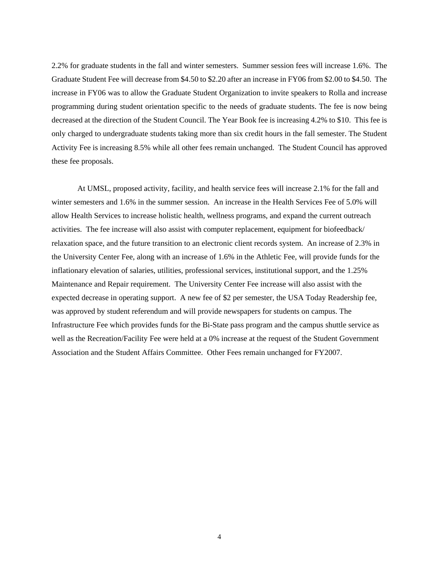2.2% for graduate students in the fall and winter semesters. Summer session fees will increase 1.6%. The Graduate Student Fee will decrease from \$4.50 to \$2.20 after an increase in FY06 from \$2.00 to \$4.50. The increase in FY06 was to allow the Graduate Student Organization to invite speakers to Rolla and increase programming during student orientation specific to the needs of graduate students. The fee is now being decreased at the direction of the Student Council. The Year Book fee is increasing 4.2% to \$10. This fee is only charged to undergraduate students taking more than six credit hours in the fall semester. The Student Activity Fee is increasing 8.5% while all other fees remain unchanged. The Student Council has approved these fee proposals.

 At UMSL, proposed activity, facility, and health service fees will increase 2.1% for the fall and winter semesters and 1.6% in the summer session. An increase in the Health Services Fee of 5.0% will allow Health Services to increase holistic health, wellness programs, and expand the current outreach activities. The fee increase will also assist with computer replacement, equipment for biofeedback/ relaxation space, and the future transition to an electronic client records system. An increase of 2.3% in the University Center Fee, along with an increase of 1.6% in the Athletic Fee, will provide funds for the inflationary elevation of salaries, utilities, professional services, institutional support, and the 1.25% Maintenance and Repair requirement. The University Center Fee increase will also assist with the expected decrease in operating support. A new fee of \$2 per semester, the USA Today Readership fee, was approved by student referendum and will provide newspapers for students on campus. The Infrastructure Fee which provides funds for the Bi-State pass program and the campus shuttle service as well as the Recreation/Facility Fee were held at a 0% increase at the request of the Student Government Association and the Student Affairs Committee. Other Fees remain unchanged for FY2007.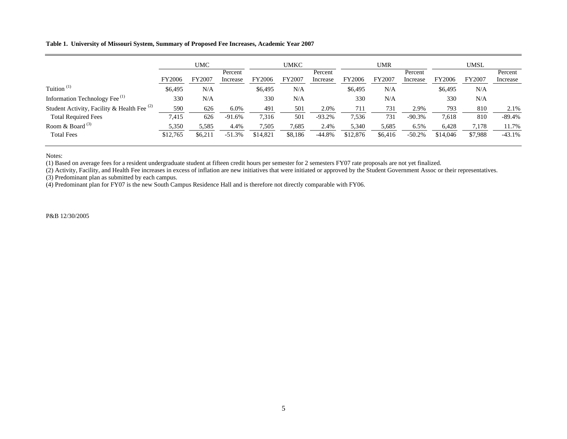### **Table 1. University of Missouri System, Summary of Proposed Fee Increases, Academic Year 2007**

|                                               | <b>UMC</b> |         | <b>UMKC</b>         |          | <b>UMR</b> |                     | <b>UMSL</b> |         |                     |          |         |                     |
|-----------------------------------------------|------------|---------|---------------------|----------|------------|---------------------|-------------|---------|---------------------|----------|---------|---------------------|
|                                               | FY2006     | FY2007  | Percent<br>Increase | FY2006   | FY2007     | Percent<br>Increase | FY2006      | FY2007  | Percent<br>Increase | FY2006   | FY2007  | Percent<br>Increase |
| Tuition <sup><math>(1)</math></sup>           | \$6,495    | N/A     |                     | \$6,495  | N/A        |                     | \$6,495     | N/A     |                     | \$6,495  | N/A     |                     |
| Information Technology Fee <sup>(1)</sup>     | 330        | N/A     |                     | 330      | N/A        |                     | 330         | N/A     |                     | 330      | N/A     |                     |
| Student Activity, Facility & Health Fee $(2)$ | 590        | 626     | 6.0%                | 491      | 501        | 2.0%                | 711         | 731     | 2.9%                | 793      | 810     | 2.1%                |
| <b>Total Required Fees</b>                    | 7,415      | 626     | $-91.6%$            | 7,316    | 501        | $-93.2%$            | 7,536       | 731     | $-90.3%$            | 7,618    | 810     | $-89.4%$            |
| Room & Board $(3)$                            | 5,350      | 5,585   | 4.4%                | 7,505    | 7,685      | 2.4%                | 5,340       | 5,685   | 6.5%                | 6,428    | 7,178   | 11.7%               |
| <b>Total Fees</b>                             | \$12,765   | \$6,21] | $-51.3%$            | \$14,821 | \$8,186    | $-44.8%$            | \$12,876    | \$6.416 | $-50.2%$            | \$14,046 | \$7,988 | $-43.1%$            |

Notes:

(1) Based on average fees for a resident undergraduate student at fifteen credit hours per semester for 2 semesters FY07 rate proposals are not yet finalized.

(2) Activity, Facility, and Health Fee increases in excess of inflation are new initiatives that were initiated or approved by the Student Government Assoc or their representatives.

(3) Predominant plan as submitted by each campus.

(4) Predominant plan for FY07 is the new South Campus Residence Hall and is therefore not directly comparable with FY06.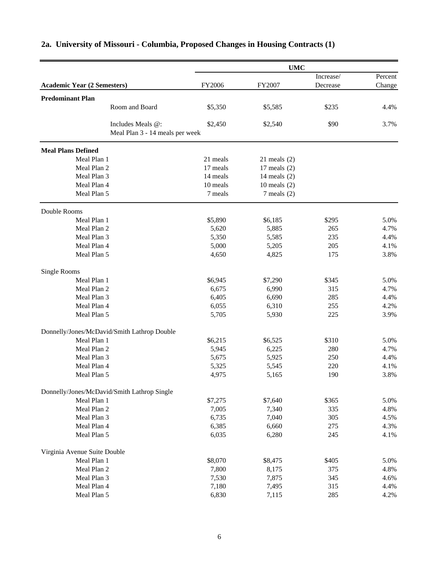|                                             | <b>UMC</b>           |                                   |           |         |  |
|---------------------------------------------|----------------------|-----------------------------------|-----------|---------|--|
|                                             |                      |                                   | Increase/ | Percent |  |
| <b>Academic Year (2 Semesters)</b>          | FY2006               | FY2007                            | Decrease  | Change  |  |
| <b>Predominant Plan</b>                     |                      |                                   |           |         |  |
| Room and Board                              | \$5,350              | \$5,585                           | \$235     | 4.4%    |  |
|                                             |                      |                                   |           |         |  |
| Includes Meals @:                           | \$2,450              | \$2,540                           | \$90      | 3.7%    |  |
| Meal Plan 3 - 14 meals per week             |                      |                                   |           |         |  |
|                                             |                      |                                   |           |         |  |
| <b>Meal Plans Defined</b>                   |                      |                                   |           |         |  |
| Meal Plan 1<br>Meal Plan 2                  | 21 meals<br>17 meals | $21$ meals $(2)$                  |           |         |  |
| Meal Plan 3                                 | 14 meals             | 17 meals $(2)$                    |           |         |  |
| Meal Plan 4                                 | 10 meals             | 14 meals $(2)$                    |           |         |  |
| Meal Plan 5                                 | 7 meals              | 10 meals $(2)$<br>$7$ meals $(2)$ |           |         |  |
|                                             |                      |                                   |           |         |  |
| Double Rooms                                |                      |                                   |           |         |  |
| Meal Plan 1                                 | \$5,890              | \$6,185                           | \$295     | 5.0%    |  |
| Meal Plan 2                                 | 5,620                | 5,885                             | 265       | 4.7%    |  |
| Meal Plan 3                                 | 5,350                | 5,585                             | 235       | 4.4%    |  |
| Meal Plan 4                                 | 5,000                | 5,205                             | 205       | 4.1%    |  |
| Meal Plan 5                                 | 4,650                | 4,825                             | 175       | 3.8%    |  |
| Single Rooms                                |                      |                                   |           |         |  |
| Meal Plan 1                                 | \$6,945              | \$7,290                           | \$345     | 5.0%    |  |
| Meal Plan 2                                 | 6,675                | 6,990                             | 315       | 4.7%    |  |
| Meal Plan 3                                 | 6,405                | 6,690                             | 285       | 4.4%    |  |
| Meal Plan 4                                 | 6,055                | 6,310                             | 255       | 4.2%    |  |
| Meal Plan 5                                 | 5,705                | 5,930                             | 225       | 3.9%    |  |
|                                             |                      |                                   |           |         |  |
| Donnelly/Jones/McDavid/Smith Lathrop Double |                      |                                   |           |         |  |
| Meal Plan 1                                 | \$6,215              | \$6,525                           | \$310     | 5.0%    |  |
| Meal Plan 2                                 | 5,945                | 6,225                             | 280       | 4.7%    |  |
| Meal Plan 3                                 | 5,675                | 5,925                             | 250       | 4.4%    |  |
| Meal Plan 4                                 | 5,325                | 5,545                             | 220       | 4.1%    |  |
| Meal Plan 5                                 | 4,975                | 5,165                             | 190       | 3.8%    |  |
| Donnelly/Jones/McDavid/Smith Lathrop Single |                      |                                   |           |         |  |
| Meal Plan 1                                 | \$7,275              | \$7,640                           | \$365     | 5.0%    |  |
| Meal Plan 2                                 | 7,005                | 7,340                             | 335       | 4.8%    |  |
| Meal Plan 3                                 | 6,735                | 7,040                             | 305       | 4.5%    |  |
| Meal Plan 4                                 | 6,385                | 6,660                             | 275       | 4.3%    |  |
| Meal Plan 5                                 | 6,035                | 6,280                             | 245       | 4.1%    |  |
| Virginia Avenue Suite Double                |                      |                                   |           |         |  |
| Meal Plan 1                                 | \$8,070              | \$8,475                           | \$405     | 5.0%    |  |
| Meal Plan 2                                 | 7,800                | 8,175                             | 375       | 4.8%    |  |
| Meal Plan 3                                 | 7,530                | 7,875                             | 345       | 4.6%    |  |
| Meal Plan 4                                 | 7,180                | 7,495                             | 315       | 4.4%    |  |
| Meal Plan 5                                 | 6,830                | 7,115                             | 285       | 4.2%    |  |

# **2a. University of Missouri - Columbia, Proposed Changes in Housing Contracts (1)**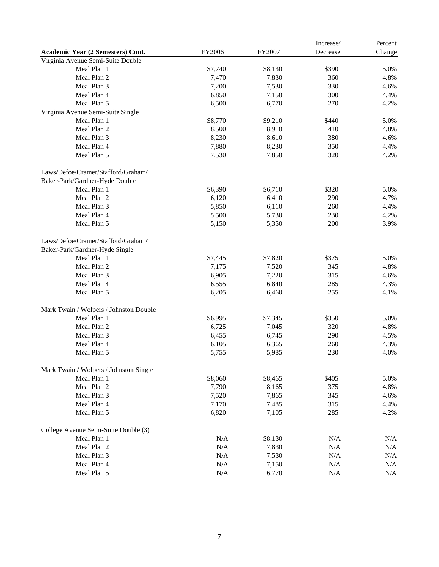|                                        |           |         | Increase/ | Percent |
|----------------------------------------|-----------|---------|-----------|---------|
| Academic Year (2 Semesters) Cont.      | FY2006    | FY2007  | Decrease  | Change  |
| Virginia Avenue Semi-Suite Double      |           |         |           |         |
| Meal Plan 1                            | \$7,740   | \$8,130 | \$390     | 5.0%    |
| Meal Plan 2                            | 7,470     | 7,830   | 360       | 4.8%    |
| Meal Plan 3                            | 7,200     | 7,530   | 330       | 4.6%    |
| Meal Plan 4                            | 6,850     | 7,150   | 300       | 4.4%    |
| Meal Plan 5                            | 6,500     | 6,770   | 270       | 4.2%    |
| Virginia Avenue Semi-Suite Single      |           |         |           |         |
| Meal Plan 1                            | \$8,770   | \$9,210 | \$440     | 5.0%    |
| Meal Plan 2                            | 8,500     | 8,910   | 410       | 4.8%    |
| Meal Plan 3                            | 8,230     | 8,610   | 380       | 4.6%    |
| Meal Plan 4                            | 7,880     | 8,230   | 350       | 4.4%    |
| Meal Plan 5                            | 7,530     | 7,850   | 320       | 4.2%    |
| Laws/Defoe/Cramer/Stafford/Graham/     |           |         |           |         |
| Baker-Park/Gardner-Hyde Double         |           |         |           |         |
| Meal Plan 1                            | \$6,390   | \$6,710 | \$320     | 5.0%    |
| Meal Plan 2                            | 6,120     | 6,410   | 290       | 4.7%    |
| Meal Plan 3                            | 5,850     | 6,110   | 260       | 4.4%    |
| Meal Plan 4                            | 5,500     | 5,730   | 230       | 4.2%    |
| Meal Plan 5                            | 5,150     | 5,350   | 200       | 3.9%    |
| Laws/Defoe/Cramer/Stafford/Graham/     |           |         |           |         |
| Baker-Park/Gardner-Hyde Single         |           |         |           |         |
| Meal Plan 1                            | \$7,445   | \$7,820 | \$375     | 5.0%    |
| Meal Plan 2                            | 7,175     | 7,520   | 345       | 4.8%    |
| Meal Plan 3                            | 6,905     | 7,220   | 315       | 4.6%    |
| Meal Plan 4                            | 6,555     | 6,840   | 285       | 4.3%    |
| Meal Plan 5                            | 6,205     | 6,460   | 255       | 4.1%    |
| Mark Twain / Wolpers / Johnston Double |           |         |           |         |
| Meal Plan 1                            | \$6,995   | \$7,345 | \$350     | 5.0%    |
| Meal Plan 2                            | 6,725     | 7,045   | 320       | 4.8%    |
| Meal Plan 3                            | 6,455     | 6,745   | 290       | 4.5%    |
| Meal Plan 4                            | 6,105     | 6,365   | 260       | 4.3%    |
| Meal Plan 5                            | 5,755     | 5,985   | 230       | 4.0%    |
| Mark Twain / Wolpers / Johnston Single |           |         |           |         |
| Meal Plan 1                            | \$8,060   | \$8,465 | \$405     | 5.0%    |
| Meal Plan 2                            | 7,790     | 8,165   | 375       | 4.8%    |
| Meal Plan 3                            | 7,520     | 7,865   | 345       | 4.6%    |
| Meal Plan 4                            | 7,170     | 7,485   | 315       | 4.4%    |
| Meal Plan 5                            | 6,820     | 7,105   | 285       | 4.2%    |
| College Avenue Semi-Suite Double (3)   |           |         |           |         |
| Meal Plan 1                            | $\rm N/A$ | \$8,130 | N/A       | N/A     |
| Meal Plan 2                            | $\rm N/A$ | 7,830   | N/A       | N/A     |
| Meal Plan 3                            | $\rm N/A$ | 7,530   | N/A       | N/A     |
| Meal Plan 4                            | $\rm N/A$ | 7,150   | N/A       | N/A     |
| Meal Plan 5                            | $\rm N/A$ | 6,770   | $\rm N/A$ | N/A     |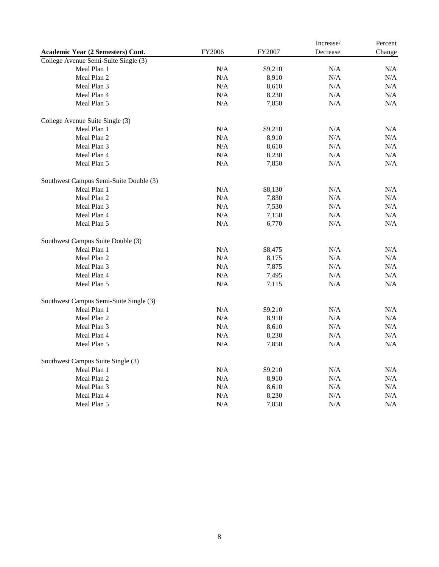|                                        |           |         | Increase/ | Percent   |
|----------------------------------------|-----------|---------|-----------|-----------|
| Academic Year (2 Semesters) Cont.      | FY2006    | FY2007  | Decrease  | Change    |
| College Avenue Semi-Suite Single (3)   |           |         |           |           |
| Meal Plan 1                            | N/A       | \$9,210 | N/A       | N/A       |
| Meal Plan 2                            | N/A       | 8,910   | $\rm N/A$ | N/A       |
| Meal Plan 3                            | N/A       | 8,610   | $\rm N/A$ | N/A       |
| Meal Plan 4                            | N/A       | 8,230   | $\rm N/A$ | $\rm N/A$ |
| Meal Plan 5                            | N/A       | 7,850   | N/A       | N/A       |
| College Avenue Suite Single (3)        |           |         |           |           |
| Meal Plan 1                            | N/A       | \$9,210 | N/A       | N/A       |
| Meal Plan 2                            | N/A       | 8,910   | N/A       | N/A       |
| Meal Plan 3                            | N/A       | 8,610   | N/A       | N/A       |
| Meal Plan 4                            | N/A       | 8,230   | N/A       | N/A       |
| Meal Plan 5                            | N/A       | 7,850   | $\rm N/A$ | N/A       |
| Southwest Campus Semi-Suite Double (3) |           |         |           |           |
| Meal Plan 1                            | N/A       | \$8,130 | N/A       | N/A       |
| Meal Plan 2                            | N/A       | 7,830   | N/A       | N/A       |
| Meal Plan 3                            | N/A       | 7,530   | N/A       | N/A       |
| Meal Plan 4                            | N/A       | 7,150   | N/A       | N/A       |
| Meal Plan 5                            | N/A       | 6,770   | N/A       | N/A       |
| Southwest Campus Suite Double (3)      |           |         |           |           |
| Meal Plan 1                            | N/A       | \$8,475 | N/A       | N/A       |
| Meal Plan 2                            | N/A       | 8,175   | N/A       | N/A       |
| Meal Plan 3                            | N/A       | 7,875   | N/A       | N/A       |
| Meal Plan 4                            | N/A       | 7,495   | N/A       | N/A       |
| Meal Plan 5                            | N/A       | 7,115   | N/A       | N/A       |
| Southwest Campus Semi-Suite Single (3) |           |         |           |           |
| Meal Plan 1                            | N/A       | \$9,210 | N/A       | N/A       |
| Meal Plan 2                            | N/A       | 8,910   | N/A       | N/A       |
| Meal Plan 3                            | N/A       | 8,610   | N/A       | N/A       |
| Meal Plan 4                            | N/A       | 8,230   | N/A       | N/A       |
| Meal Plan 5                            | $\rm N/A$ | 7,850   | $\rm N/A$ | N/A       |
| Southwest Campus Suite Single (3)      |           |         |           |           |
| Meal Plan 1                            | N/A       | \$9,210 | $\rm N/A$ | N/A       |
| Meal Plan 2                            | N/A       | 8,910   | N/A       | N/A       |
| Meal Plan 3                            | N/A       | 8,610   | $\rm N/A$ | N/A       |
| Meal Plan 4                            | N/A       | 8,230   | N/A       | N/A       |
| Meal Plan 5                            | N/A       | 7,850   | N/A       | N/A       |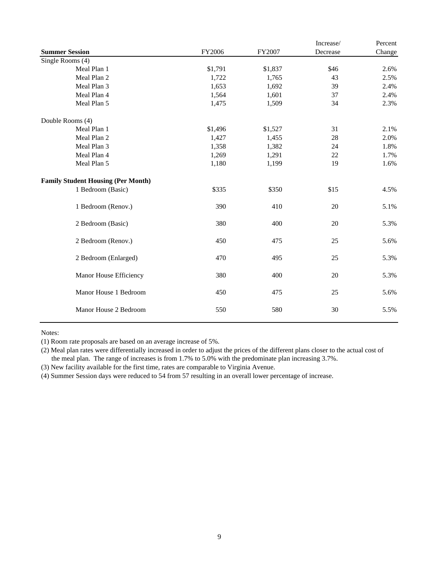|                                           |         |         | Increase/ | Percent |
|-------------------------------------------|---------|---------|-----------|---------|
| <b>Summer Session</b>                     | FY2006  | FY2007  | Decrease  | Change  |
| Single Rooms (4)                          |         |         |           |         |
| Meal Plan 1                               | \$1,791 | \$1,837 | \$46      | 2.6%    |
| Meal Plan 2                               | 1,722   | 1,765   | 43        | 2.5%    |
| Meal Plan 3                               | 1,653   | 1,692   | 39        | 2.4%    |
| Meal Plan 4                               | 1,564   | 1,601   | 37        | 2.4%    |
| Meal Plan 5                               | 1,475   | 1,509   | 34        | 2.3%    |
| Double Rooms (4)                          |         |         |           |         |
| Meal Plan 1                               | \$1,496 | \$1,527 | 31        | 2.1%    |
| Meal Plan 2                               | 1,427   | 1,455   | 28        | 2.0%    |
| Meal Plan 3                               | 1,358   | 1,382   | 24        | 1.8%    |
| Meal Plan 4                               | 1,269   | 1,291   | 22        | 1.7%    |
| Meal Plan 5                               | 1,180   | 1,199   | 19        | 1.6%    |
| <b>Family Student Housing (Per Month)</b> |         |         |           |         |
| 1 Bedroom (Basic)                         | \$335   | \$350   | \$15      | 4.5%    |
| 1 Bedroom (Renov.)                        | 390     | 410     | 20        | 5.1%    |
| 2 Bedroom (Basic)                         | 380     | 400     | 20        | 5.3%    |
| 2 Bedroom (Renov.)                        | 450     | 475     | 25        | 5.6%    |
| 2 Bedroom (Enlarged)                      | 470     | 495     | 25        | 5.3%    |
| Manor House Efficiency                    | 380     | 400     | 20        | 5.3%    |
| Manor House 1 Bedroom                     | 450     | 475     | 25        | 5.6%    |
| Manor House 2 Bedroom                     | 550     | 580     | 30        | 5.5%    |
|                                           |         |         |           |         |

Notes:

(1) Room rate proposals are based on an average increase of 5%.

(2) Meal plan rates were differentially increased in order to adjust the prices of the different plans closer to the actual cost of the meal plan. The range of increases is from 1.7% to 5.0% with the predominate plan increasing 3.7%.

(3) New facility available for the first time, rates are comparable to Virginia Avenue.

(4) Summer Session days were reduced to 54 from 57 resulting in an overall lower percentage of increase.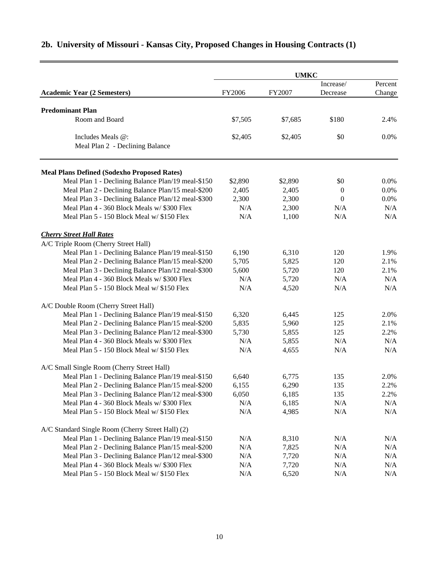|                                                    | <b>UMKC</b> |         |                  |         |  |
|----------------------------------------------------|-------------|---------|------------------|---------|--|
|                                                    |             |         | Increase/        | Percent |  |
| <b>Academic Year (2 Semesters)</b>                 | FY2006      | FY2007  | Decrease         | Change  |  |
|                                                    |             |         |                  |         |  |
| <b>Predominant Plan</b><br>Room and Board          |             |         | \$180            |         |  |
|                                                    | \$7,505     | \$7,685 |                  | 2.4%    |  |
| Includes Meals @:                                  | \$2,405     | \$2,405 | \$0              | 0.0%    |  |
| Meal Plan 2 - Declining Balance                    |             |         |                  |         |  |
| <b>Meal Plans Defined (Sodexho Proposed Rates)</b> |             |         |                  |         |  |
| Meal Plan 1 - Declining Balance Plan/19 meal-\$150 | \$2,890     | \$2,890 | \$0              | $0.0\%$ |  |
| Meal Plan 2 - Declining Balance Plan/15 meal-\$200 | 2,405       | 2,405   | $\boldsymbol{0}$ | 0.0%    |  |
| Meal Plan 3 - Declining Balance Plan/12 meal-\$300 | 2,300       | 2,300   | $\boldsymbol{0}$ | 0.0%    |  |
| Meal Plan 4 - 360 Block Meals w/ \$300 Flex        | N/A         | 2,300   | N/A              | N/A     |  |
| Meal Plan 5 - 150 Block Meal w/ \$150 Flex         | N/A         | 1,100   | N/A              | N/A     |  |
| <b>Cherry Street Hall Rates</b>                    |             |         |                  |         |  |
| A/C Triple Room (Cherry Street Hall)               |             |         |                  |         |  |
| Meal Plan 1 - Declining Balance Plan/19 meal-\$150 | 6,190       | 6,310   | 120              | 1.9%    |  |
| Meal Plan 2 - Declining Balance Plan/15 meal-\$200 | 5,705       | 5,825   | 120              | 2.1%    |  |
| Meal Plan 3 - Declining Balance Plan/12 meal-\$300 | 5,600       | 5,720   | 120              | 2.1%    |  |
| Meal Plan 4 - 360 Block Meals w/ \$300 Flex        | N/A         | 5,720   | N/A              | N/A     |  |
| Meal Plan 5 - 150 Block Meal w/ \$150 Flex         | N/A         | 4,520   | N/A              | N/A     |  |
| A/C Double Room (Cherry Street Hall)               |             |         |                  |         |  |
| Meal Plan 1 - Declining Balance Plan/19 meal-\$150 | 6,320       | 6,445   | 125              | 2.0%    |  |
| Meal Plan 2 - Declining Balance Plan/15 meal-\$200 | 5,835       | 5,960   | 125              | 2.1%    |  |
| Meal Plan 3 - Declining Balance Plan/12 meal-\$300 | 5,730       | 5,855   | 125              | 2.2%    |  |
| Meal Plan 4 - 360 Block Meals w/ \$300 Flex        | N/A         | 5,855   | N/A              | N/A     |  |
| Meal Plan 5 - 150 Block Meal w/ \$150 Flex         | N/A         | 4,655   | N/A              | N/A     |  |
| A/C Small Single Room (Cherry Street Hall)         |             |         |                  |         |  |
| Meal Plan 1 - Declining Balance Plan/19 meal-\$150 | 6,640       | 6,775   | 135              | 2.0%    |  |
| Meal Plan 2 - Declining Balance Plan/15 meal-\$200 | 6,155       | 6,290   | 135              | 2.2%    |  |
| Meal Plan 3 - Declining Balance Plan/12 meal-\$300 | 6,050       | 6,185   | 135              | 2.2%    |  |
| Meal Plan 4 - 360 Block Meals w/ \$300 Flex        | N/A         | 6,185   | N/A              | N/A     |  |
| Meal Plan 5 - 150 Block Meal w/ \$150 Flex         | N/A         | 4,985   | N/A              | N/A     |  |
| A/C Standard Single Room (Cherry Street Hall) (2)  |             |         |                  |         |  |
| Meal Plan 1 - Declining Balance Plan/19 meal-\$150 | N/A         | 8,310   | N/A              | N/A     |  |
| Meal Plan 2 - Declining Balance Plan/15 meal-\$200 | N/A         | 7,825   | N/A              | N/A     |  |
| Meal Plan 3 - Declining Balance Plan/12 meal-\$300 | N/A         | 7,720   | N/A              | N/A     |  |
| Meal Plan 4 - 360 Block Meals w/ \$300 Flex        | N/A         | 7,720   | N/A              | N/A     |  |
| Meal Plan 5 - 150 Block Meal w/ \$150 Flex         | N/A         | 6,520   | N/A              | N/A     |  |

# **2b. University of Missouri - Kansas City, Proposed Changes in Housing Contracts (1)**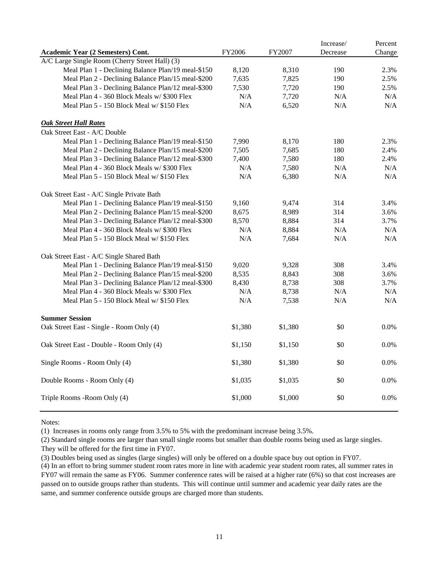|                                                    |         |         | Increase/ | Percent |
|----------------------------------------------------|---------|---------|-----------|---------|
| Academic Year (2 Semesters) Cont.                  | FY2006  | FY2007  | Decrease  | Change  |
| A/C Large Single Room (Cherry Street Hall) (3)     |         |         |           |         |
| Meal Plan 1 - Declining Balance Plan/19 meal-\$150 | 8,120   | 8,310   | 190       | 2.3%    |
| Meal Plan 2 - Declining Balance Plan/15 meal-\$200 | 7,635   | 7,825   | 190       | 2.5%    |
| Meal Plan 3 - Declining Balance Plan/12 meal-\$300 | 7,530   | 7,720   | 190       | 2.5%    |
| Meal Plan 4 - 360 Block Meals w/ \$300 Flex        | N/A     | 7,720   | N/A       | N/A     |
| Meal Plan 5 - 150 Block Meal w/ \$150 Flex         | N/A     | 6,520   | N/A       | N/A     |
| <b>Oak Street Hall Rates</b>                       |         |         |           |         |
| Oak Street East - A/C Double                       |         |         |           |         |
| Meal Plan 1 - Declining Balance Plan/19 meal-\$150 | 7,990   | 8,170   | 180       | 2.3%    |
| Meal Plan 2 - Declining Balance Plan/15 meal-\$200 | 7,505   | 7,685   | 180       | 2.4%    |
| Meal Plan 3 - Declining Balance Plan/12 meal-\$300 | 7,400   | 7,580   | 180       | 2.4%    |
| Meal Plan 4 - 360 Block Meals w/ \$300 Flex        | N/A     | 7,580   | N/A       | N/A     |
| Meal Plan 5 - 150 Block Meal w/ \$150 Flex         | N/A     | 6,380   | N/A       | N/A     |
| Oak Street East - A/C Single Private Bath          |         |         |           |         |
| Meal Plan 1 - Declining Balance Plan/19 meal-\$150 | 9,160   | 9,474   | 314       | 3.4%    |
| Meal Plan 2 - Declining Balance Plan/15 meal-\$200 | 8,675   | 8,989   | 314       | 3.6%    |
| Meal Plan 3 - Declining Balance Plan/12 meal-\$300 | 8,570   | 8,884   | 314       | 3.7%    |
| Meal Plan 4 - 360 Block Meals w/ \$300 Flex        | N/A     | 8,884   | N/A       | N/A     |
| Meal Plan 5 - 150 Block Meal w/ \$150 Flex         | N/A     | 7,684   | N/A       | N/A     |
| Oak Street East - A/C Single Shared Bath           |         |         |           |         |
| Meal Plan 1 - Declining Balance Plan/19 meal-\$150 | 9,020   | 9,328   | 308       | 3.4%    |
| Meal Plan 2 - Declining Balance Plan/15 meal-\$200 | 8,535   | 8,843   | 308       | 3.6%    |
| Meal Plan 3 - Declining Balance Plan/12 meal-\$300 | 8,430   | 8,738   | 308       | 3.7%    |
| Meal Plan 4 - 360 Block Meals w/ \$300 Flex        | N/A     | 8,738   | N/A       | N/A     |
| Meal Plan 5 - 150 Block Meal w/ \$150 Flex         | N/A     | 7,538   | N/A       | N/A     |
| <b>Summer Session</b>                              |         |         |           |         |
| Oak Street East - Single - Room Only (4)           | \$1,380 | \$1,380 | \$0       | 0.0%    |
| Oak Street East - Double - Room Only (4)           | \$1,150 | \$1,150 | \$0       | $0.0\%$ |
| Single Rooms - Room Only (4)                       | \$1,380 | \$1,380 | \$0       | 0.0%    |
| Double Rooms - Room Only (4)                       | \$1,035 | \$1,035 | \$0       | $0.0\%$ |
| Triple Rooms - Room Only (4)                       | \$1,000 | \$1,000 | \$0       | 0.0%    |
|                                                    |         |         |           |         |

Notes:

(1) Increases in rooms only range from 3.5% to 5% with the predominant increase being 3.5%.

(2) Standard single rooms are larger than small single rooms but smaller than double rooms being used as large singles. They will be offered for the first time in FY07.

(3) Doubles being used as singles (large singles) will only be offered on a double space buy out option in FY07.

(4) In an effort to bring summer student room rates more in line with academic year student room rates, all summer rates in FY07 will remain the same as FY06. Summer conference rates will be raised at a higher rate (6%) so that cost increases are passed on to outside groups rather than students. This will continue until summer and academic year daily rates are the same, and summer conference outside groups are charged more than students.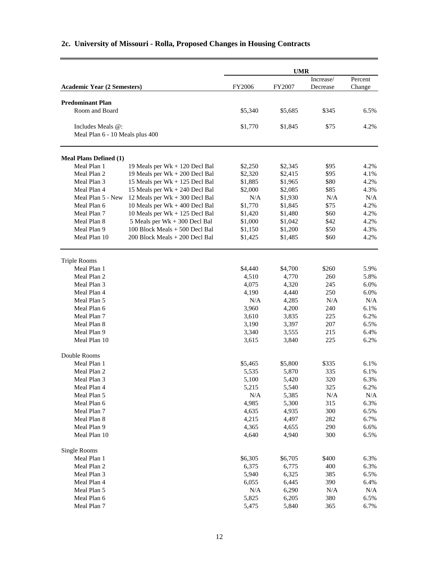|                                    |                                | <b>UMR</b>     |                |                       |                   |
|------------------------------------|--------------------------------|----------------|----------------|-----------------------|-------------------|
| <b>Academic Year (2 Semesters)</b> |                                | FY2006         | FY2007         | Increase/<br>Decrease | Percent<br>Change |
|                                    |                                |                |                |                       |                   |
| <b>Predominant Plan</b>            |                                |                |                |                       |                   |
| Room and Board                     |                                | \$5,340        | \$5,685        | \$345                 | 6.5%              |
| Includes Meals @:                  |                                | \$1,770        | \$1,845        | \$75                  | 4.2%              |
| Meal Plan 6 - 10 Meals plus 400    |                                |                |                |                       |                   |
| <b>Meal Plans Defined (1)</b>      |                                |                |                |                       |                   |
| Meal Plan 1                        | 19 Meals per Wk + 120 Decl Bal | \$2,250        | \$2,345        | \$95                  | 4.2%              |
| Meal Plan 2                        | 19 Meals per Wk + 200 Decl Bal | \$2,320        | \$2,415        | \$95                  | 4.1%              |
| Meal Plan 3                        | 15 Meals per Wk + 125 Decl Bal | \$1,885        | \$1,965        | \$80                  | 4.2%              |
| Meal Plan 4                        | 15 Meals per Wk + 240 Decl Bal | \$2,000        | \$2,085        | \$85                  | 4.3%              |
| Meal Plan 5 - New                  | 12 Meals per Wk + 300 Decl Bal | N/A            | \$1,930        | N/A                   | N/A               |
| Meal Plan 6                        | 10 Meals per Wk + 400 Decl Bal | \$1,770        | \$1,845        | \$75                  | 4.2%              |
| Meal Plan 7                        | 10 Meals per Wk + 125 Decl Bal | \$1,420        | \$1,480        | \$60                  | 4.2%              |
| Meal Plan 8                        | 5 Meals per Wk + 300 Decl Bal  | \$1,000        | \$1,042        | \$42                  | 4.2%              |
| Meal Plan 9                        | 100 Block Meals + 500 Decl Bal | \$1,150        | \$1,200        | \$50                  | 4.3%              |
| Meal Plan 10                       | 200 Block Meals + 200 Decl Bal | \$1,425        | \$1,485        | \$60                  | 4.2%              |
| <b>Triple Rooms</b>                |                                |                |                |                       |                   |
| Meal Plan 1                        |                                | \$4,440        | \$4,700        | \$260                 | 5.9%              |
| Meal Plan 2                        |                                | 4,510          | 4,770          | 260                   | 5.8%              |
| Meal Plan 3                        |                                | 4,075          | 4,320          | 245                   | 6.0%              |
| Meal Plan 4                        |                                | 4,190          | 4,440          | 250                   | 6.0%              |
| Meal Plan 5                        |                                | N/A            | 4,285          | N/A                   | N/A               |
| Meal Plan 6                        |                                | 3,960          | 4,200          | 240                   | 6.1%              |
| Meal Plan 7                        |                                | 3,610          | 3,835          | 225                   | 6.2%              |
| Meal Plan 8                        |                                | 3,190          | 3,397          | 207                   | 6.5%              |
| Meal Plan 9                        |                                | 3,340          | 3,555          | 215                   | 6.4%              |
| Meal Plan 10                       |                                | 3,615          | 3,840          | 225                   | 6.2%              |
| Double Rooms                       |                                |                |                |                       |                   |
| Meal Plan 1                        |                                | \$5,465        | \$5,800        | \$335                 | 6.1%              |
| Meal Plan 2                        |                                | 5,535          | 5,870          | 335                   | 6.1%              |
| Meal Plan 3                        |                                | 5,100          | 5,420          | 320                   | 6.3%              |
| Meal Plan 4                        |                                | 5,215          | 5,540          | 325                   | 6.2%              |
| Meal Plan 5                        |                                | $\rm N/A$      | 5,385          | N/A                   | N/A               |
| Meal Plan 6                        |                                | 4,985          | 5,300<br>4,935 | 315                   | 6.3%              |
| Meal Plan 7<br>Meal Plan 8         |                                | 4,635          | 4,497          | 300<br>282            | 6.5%              |
| Meal Plan 9                        |                                | 4,215<br>4,365 | 4,655          | 290                   | 6.7%<br>6.6%      |
| Meal Plan 10                       |                                | 4,640          | 4,940          | 300                   | 6.5%              |
| <b>Single Rooms</b>                |                                |                |                |                       |                   |
| Meal Plan 1                        |                                | \$6,305        | \$6,705        | \$400                 | 6.3%              |
| Meal Plan 2                        |                                | 6,375          | 6,775          | 400                   | 6.3%              |
| Meal Plan 3                        |                                | 5,940          | 6,325          | 385                   | 6.5%              |
| Meal Plan 4                        |                                | 6,055          | 6,445          | 390                   | 6.4%              |
| Meal Plan 5                        |                                | N/A            | 6,290          | N/A                   | N/A               |
| Meal Plan 6                        |                                | 5,825          | 6,205          | 380                   | 6.5%              |
| Meal Plan 7                        |                                | 5,475          | 5,840          | 365                   | 6.7%              |

## **2c. University of Missouri - Rolla, Proposed Changes in Housing Contracts**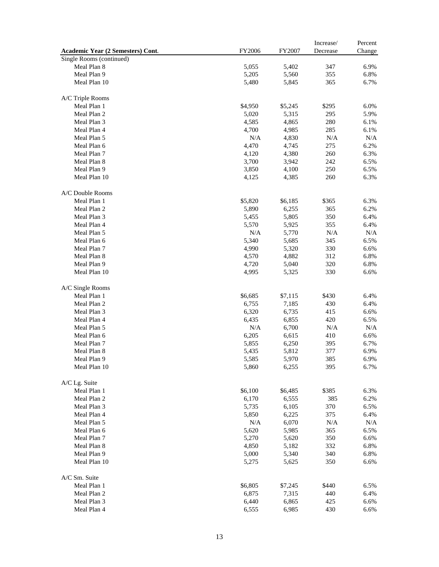|                                   |         |         | Increase/ | Percent      |
|-----------------------------------|---------|---------|-----------|--------------|
| Academic Year (2 Semesters) Cont. | FY2006  | FY2007  | Decrease  | Change       |
| Single Rooms (continued)          |         |         |           |              |
| Meal Plan 8                       | 5,055   | 5,402   | 347       | 6.9%         |
| Meal Plan 9                       | 5,205   | 5,560   | 355       | 6.8%         |
| Meal Plan 10                      | 5,480   | 5,845   | 365       | 6.7%         |
|                                   |         |         |           |              |
| A/C Triple Rooms                  |         |         |           |              |
| Meal Plan 1                       | \$4,950 | \$5,245 | \$295     | 6.0%         |
| Meal Plan 2                       | 5,020   | 5,315   | 295       | 5.9%         |
| Meal Plan 3                       | 4,585   | 4,865   | 280       | 6.1%         |
| Meal Plan 4                       | 4,700   | 4,985   | 285       | 6.1%         |
| Meal Plan 5                       | N/A     | 4,830   | N/A       | N/A          |
| Meal Plan 6                       | 4,470   | 4,745   | 275       | 6.2%         |
| Meal Plan 7                       |         |         | 260       | 6.3%         |
|                                   | 4,120   | 4,380   |           |              |
| Meal Plan 8                       | 3,700   | 3,942   | 242       | 6.5%         |
| Meal Plan 9                       | 3,850   | 4,100   | 250       | 6.5%         |
| Meal Plan 10                      | 4,125   | 4,385   | 260       | 6.3%         |
|                                   |         |         |           |              |
| A/C Double Rooms                  |         |         |           |              |
| Meal Plan 1                       | \$5,820 | \$6,185 | \$365     | 6.3%         |
| Meal Plan 2                       | 5,890   | 6,255   | 365       | 6.2%         |
| Meal Plan 3                       | 5,455   | 5,805   | 350       | 6.4%         |
| Meal Plan 4                       | 5,570   | 5,925   | 355       | 6.4%         |
| Meal Plan 5                       | N/A     | 5,770   | N/A       | N/A          |
| Meal Plan 6                       | 5,340   | 5,685   | 345       | 6.5%         |
| Meal Plan 7                       | 4,990   | 5,320   | 330       | 6.6%         |
| Meal Plan 8                       | 4,570   | 4,882   | 312       | 6.8%         |
| Meal Plan 9                       | 4,720   | 5,040   | 320       | 6.8%         |
| Meal Plan 10                      | 4,995   | 5,325   | 330       | 6.6%         |
|                                   |         |         |           |              |
| A/C Single Rooms                  |         |         |           |              |
| Meal Plan 1                       | \$6,685 | \$7,115 | \$430     | 6.4%         |
| Meal Plan 2                       | 6,755   | 7,185   | 430       | 6.4%         |
| Meal Plan 3                       | 6,320   | 6,735   | 415       | 6.6%         |
| Meal Plan 4                       | 6,435   | 6,855   | 420       | 6.5%         |
| Meal Plan 5                       | N/A     | 6,700   | N/A       | N/A          |
| Meal Plan 6                       | 6,205   | 6,615   | 410       | 6.6%         |
| Meal Plan 7                       | 5,855   | 6,250   | 395       | 6.7%         |
| Meal Plan 8                       | 5,435   | 5,812   | 377       | 6.9%         |
|                                   |         |         |           |              |
| Meal Plan 9                       | 5,585   | 5,970   | 385       | 6.9%<br>6.7% |
| Meal Plan 10                      | 5,860   | 6,255   | 395       |              |
|                                   |         |         |           |              |
| A/C Lg. Suite                     |         |         |           |              |
| Meal Plan 1                       | \$6,100 | \$6,485 | \$385     | 6.3%         |
| Meal Plan 2                       | 6,170   | 6,555   | 385       | 6.2%         |
| Meal Plan 3                       | 5,735   | 6,105   | 370       | 6.5%         |
| Meal Plan 4                       | 5,850   | 6,225   | 375       | 6.4%         |
| Meal Plan 5                       | N/A     | 6,070   | $\rm N/A$ | N/A          |
| Meal Plan 6                       | 5,620   | 5,985   | 365       | 6.5%         |
| Meal Plan 7                       | 5,270   | 5,620   | 350       | 6.6%         |
| Meal Plan 8                       | 4,850   | 5,182   | 332       | 6.8%         |
| Meal Plan 9                       | 5,000   | 5,340   | 340       | 6.8%         |
| Meal Plan 10                      | 5,275   | 5,625   | 350       | 6.6%         |
|                                   |         |         |           |              |
| A/C Sm. Suite                     |         |         |           |              |
| Meal Plan 1                       | \$6,805 | \$7,245 | \$440     | 6.5%         |
| Meal Plan 2                       | 6,875   | 7,315   | 440       | 6.4%         |
| Meal Plan 3                       | 6,440   | 6,865   | 425       | 6.6%         |
| Meal Plan 4                       | 6,555   | 6,985   | 430       | 6.6%         |
|                                   |         |         |           |              |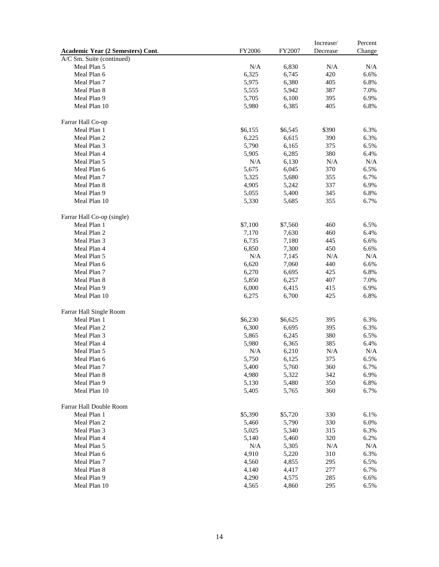| Academic Year (2 Semesters) Cont. | FY2006    | FY2007  | Increase/<br>Decrease | Percent<br>Change |
|-----------------------------------|-----------|---------|-----------------------|-------------------|
| A/C Sm. Suite (continued)         |           |         |                       |                   |
| Meal Plan 5                       | N/A       | 6,830   | N/A                   | N/A               |
| Meal Plan 6                       | 6,325     | 6,745   | 420                   | 6.6%              |
| Meal Plan 7                       | 5,975     | 6,380   | 405                   | 6.8%              |
| Meal Plan 8                       | 5,555     | 5,942   | 387                   | 7.0%              |
| Meal Plan 9                       | 5,705     | 6,100   | 395                   | 6.9%              |
| Meal Plan 10                      | 5,980     | 6,385   | 405                   | 6.8%              |
|                                   |           |         |                       |                   |
| Farrar Hall Co-op                 |           |         |                       |                   |
| Meal Plan 1                       | \$6,155   | \$6,545 | \$390                 | 6.3%              |
| Meal Plan 2                       | 6,225     | 6,615   | 390                   | 6.3%              |
| Meal Plan 3                       | 5,790     | 6,165   | 375                   | 6.5%              |
| Meal Plan 4                       | 5,905     | 6,285   | 380                   | 6.4%              |
| Meal Plan 5                       | N/A       | 6,130   | N/A                   | N/A               |
| Meal Plan 6                       | 5,675     | 6,045   | 370                   | 6.5%              |
| Meal Plan 7                       | 5,325     | 5,680   | 355                   | 6.7%              |
| Meal Plan 8                       | 4,905     | 5,242   | 337                   | 6.9%              |
| Meal Plan 9                       | 5,055     | 5,400   | 345                   | 6.8%              |
| Meal Plan 10                      | 5,330     | 5,685   | 355                   | 6.7%              |
| Farrar Hall Co-op (single)        |           |         |                       |                   |
| Meal Plan 1                       | \$7,100   | \$7,560 | 460                   | 6.5%              |
| Meal Plan 2                       | 7,170     | 7,630   | 460                   | 6.4%              |
| Meal Plan 3                       | 6,735     | 7,180   | 445                   | 6.6%              |
| Meal Plan 4                       | 6,850     | 7,300   | 450                   | 6.6%              |
| Meal Plan 5                       | N/A       | 7,145   | N/A                   | N/A               |
| Meal Plan 6                       | 6,620     | 7,060   | 440                   | 6.6%              |
| Meal Plan 7                       | 6,270     | 6,695   | 425                   | 6.8%              |
| Meal Plan 8                       | 5,850     | 6,257   | 407                   | 7.0%              |
| Meal Plan 9                       |           | 6,415   | 415                   | 6.9%              |
| Meal Plan 10                      | 6,000     | 6,700   | 425                   | 6.8%              |
|                                   | 6,275     |         |                       |                   |
| Farrar Hall Single Room           |           |         |                       |                   |
| Meal Plan 1                       | \$6,230   | \$6,625 | 395                   | 6.3%              |
| Meal Plan 2                       | 6,300     | 6,695   | 395                   | 6.3%              |
| Meal Plan 3                       | 5,865     | 6,245   | 380                   | 6.5%              |
| Meal Plan 4                       | 5,980     | 6,365   | 385                   | 6.4%              |
| Meal Plan 5                       | N/A       | 6,210   | N/A                   | N/A               |
| Meal Plan 6                       | 5,750     | 6,125   | 375                   | 6.5%              |
| Meal Plan 7                       | 5,400     | 5,760   | 360                   | 6.7%              |
| Meal Plan 8                       | 4,980     | 5,322   | 342                   | 6.9%              |
| Meal Plan 9                       | 5,130     | 5,480   | 350                   | 6.8%              |
| Meal Plan 10                      | 5,405     | 5,765   | 360                   | 6.7%              |
| Farrar Hall Double Room           |           |         |                       |                   |
| Meal Plan 1                       | \$5,390   | \$5,720 | 330                   | 6.1%              |
| Meal Plan 2                       | 5,460     | 5,790   | 330                   | 6.0%              |
| Meal Plan 3                       | 5,025     | 5,340   | 315                   | 6.3%              |
| Meal Plan 4                       | 5,140     | 5,460   | 320                   | 6.2%              |
| Meal Plan 5                       | $\rm N/A$ | 5,305   | N/A                   | $\rm N/A$         |
| Meal Plan 6                       | 4,910     | 5,220   | 310                   | 6.3%              |
| Meal Plan 7                       | 4,560     | 4,855   | 295                   | 6.5%              |
|                                   |           |         |                       |                   |
| Meal Plan 8                       | 4,140     | 4,417   | 277                   | 6.7%              |
| Meal Plan 9                       | 4,290     | 4,575   | 285                   | 6.6%              |
| Meal Plan 10                      | 4,565     | 4,860   | 295                   | $6.5\%$           |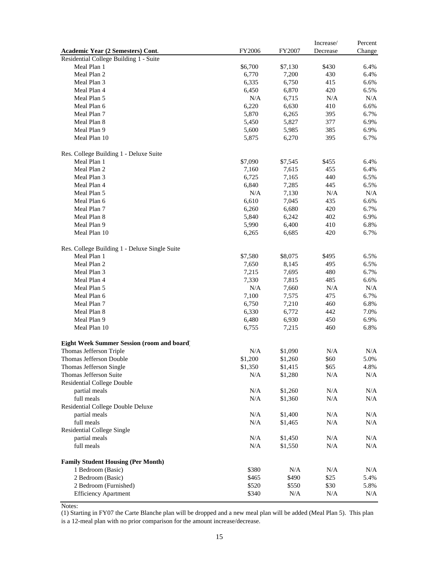|                                               |           |         | Increase/ | Percent |
|-----------------------------------------------|-----------|---------|-----------|---------|
| Academic Year (2 Semesters) Cont.             | FY2006    | FY2007  | Decrease  | Change  |
| Residential College Building 1 - Suite        |           |         |           |         |
| Meal Plan 1                                   | \$6,700   | \$7,130 | \$430     | 6.4%    |
| Meal Plan 2                                   | 6,770     | 7,200   | 430       | 6.4%    |
| Meal Plan 3                                   | 6,335     | 6,750   | 415       | 6.6%    |
| Meal Plan 4                                   | 6,450     | 6,870   | 420       | 6.5%    |
| Meal Plan 5                                   | N/A       | 6,715   | N/A       | N/A     |
| Meal Plan 6                                   | 6,220     | 6,630   | 410       | 6.6%    |
| Meal Plan 7                                   | 5,870     | 6,265   | 395       | 6.7%    |
| Meal Plan 8                                   | 5,450     | 5,827   | 377       | 6.9%    |
| Meal Plan 9                                   | 5,600     | 5,985   | 385       | 6.9%    |
| Meal Plan 10                                  | 5,875     | 6,270   | 395       | 6.7%    |
| Res. College Building 1 - Deluxe Suite        |           |         |           |         |
| Meal Plan 1                                   | \$7,090   | \$7,545 | \$455     | 6.4%    |
| Meal Plan 2                                   | 7,160     | 7,615   | 455       | 6.4%    |
| Meal Plan 3                                   | 6,725     | 7,165   | 440       | 6.5%    |
| Meal Plan 4                                   | 6,840     | 7,285   | 445       | 6.5%    |
| Meal Plan 5                                   | N/A       | 7,130   | N/A       | N/A     |
| Meal Plan 6                                   | 6,610     | 7,045   | 435       | 6.6%    |
| Meal Plan 7                                   | 6,260     | 6,680   | 420       | 6.7%    |
| Meal Plan 8                                   | 5,840     | 6,242   | 402       | 6.9%    |
| Meal Plan 9                                   |           |         |           |         |
|                                               | 5,990     | 6,400   | 410       | 6.8%    |
| Meal Plan 10                                  | 6,265     | 6,685   | 420       | 6.7%    |
| Res. College Building 1 - Deluxe Single Suite |           |         |           |         |
| Meal Plan 1                                   | \$7,580   | \$8,075 | \$495     | 6.5%    |
| Meal Plan 2                                   | 7,650     | 8,145   | 495       | 6.5%    |
| Meal Plan 3                                   | 7,215     | 7,695   | 480       | 6.7%    |
| Meal Plan 4                                   | 7,330     | 7,815   | 485       | 6.6%    |
| Meal Plan 5                                   | N/A       | 7,660   | N/A       | N/A     |
| Meal Plan 6                                   | 7,100     | 7,575   | 475       | 6.7%    |
| Meal Plan 7                                   | 6,750     | 7,210   | 460       | 6.8%    |
| Meal Plan 8                                   | 6,330     | 6,772   | 442       | 7.0%    |
| Meal Plan 9                                   | 6,480     | 6,930   | 450       | 6.9%    |
| Meal Plan 10                                  | 6,755     | 7,215   | 460       | 6.8%    |
| Eight Week Summer Session (room and board)    |           |         |           |         |
| Thomas Jefferson Triple                       | N/A       | \$1,090 | N/A       | N/A     |
| Thomas Jefferson Double                       | \$1,200   | \$1,260 | \$60      | 5.0%    |
| Thomas Jefferson Single                       | \$1,350   | \$1,415 | \$65      | 4.8%    |
| Thomas Jefferson Suite                        | N/A       | \$1,280 | $\rm N/A$ | N/A     |
| <b>Residential College Double</b>             |           |         |           |         |
| partial meals                                 | N/A       | \$1,260 | N/A       | N/A     |
| full meals                                    | N/A       | \$1,360 | N/A       | N/A     |
| Residential College Double Deluxe             |           |         |           |         |
| partial meals                                 | $\rm N/A$ | \$1,400 | N/A       | N/A     |
| full meals                                    | N/A       | \$1,465 | N/A       | N/A     |
| <b>Residential College Single</b>             |           |         |           |         |
| partial meals                                 | $\rm N/A$ | \$1,450 | $\rm N/A$ | N/A     |
| full meals                                    | N/A       |         | N/A       | N/A     |
|                                               |           | \$1,550 |           |         |
| <b>Family Student Housing (Per Month)</b>     |           |         |           |         |
| 1 Bedroom (Basic)                             | \$380     | N/A     | N/A       | N/A     |
| 2 Bedroom (Basic)                             | \$465     | \$490   | \$25      | 5.4%    |
| 2 Bedroom (Furnished)                         | \$520     | \$550   | \$30      | 5.8%    |
| <b>Efficiency Apartment</b>                   | \$340     | N/A     | N/A       | N/A     |

Notes:

(1) Starting in FY07 the Carte Blanche plan will be dropped and a new meal plan will be added (Meal Plan 5). This plan

is a 12-meal plan with no prior comparison for the amount increase/decrease.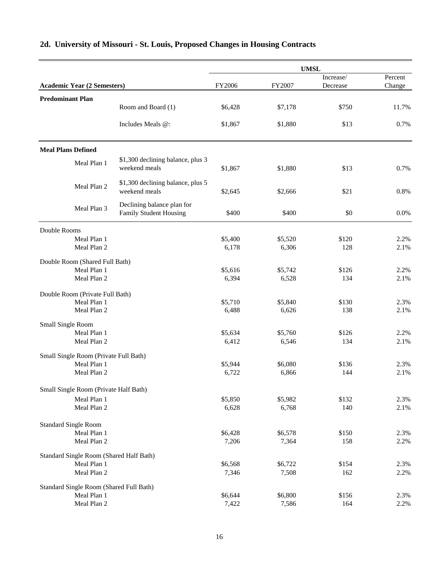|                                         |                                                             | <b>UMSL</b>      |                  |              |              |  |  |  |
|-----------------------------------------|-------------------------------------------------------------|------------------|------------------|--------------|--------------|--|--|--|
|                                         |                                                             |                  |                  | Increase/    | Percent      |  |  |  |
| <b>Academic Year (2 Semesters)</b>      |                                                             | FY2006           | FY2007           | Decrease     | Change       |  |  |  |
| <b>Predominant Plan</b>                 | Room and Board (1)                                          | \$6,428          | \$7,178          | \$750        | 11.7%        |  |  |  |
|                                         | Includes Meals @:                                           | \$1,867          | \$1,880          | \$13         | 0.7%         |  |  |  |
| <b>Meal Plans Defined</b>               |                                                             |                  |                  |              |              |  |  |  |
| Meal Plan 1                             | \$1,300 declining balance, plus 3<br>weekend meals          | \$1,867          | \$1,880          | \$13         | 0.7%         |  |  |  |
| Meal Plan 2                             | \$1,300 declining balance, plus 5<br>weekend meals          | \$2,645          | \$2,666          | \$21         | 0.8%         |  |  |  |
| Meal Plan 3                             | Declining balance plan for<br><b>Family Student Housing</b> | \$400            | \$400            | \$0          | 0.0%         |  |  |  |
| Double Rooms                            |                                                             |                  |                  |              |              |  |  |  |
| Meal Plan 1                             |                                                             | \$5,400          | \$5,520          | \$120        | 2.2%         |  |  |  |
| Meal Plan 2                             |                                                             | 6,178            | 6,306            | 128          | 2.1%         |  |  |  |
| Double Room (Shared Full Bath)          |                                                             |                  |                  |              |              |  |  |  |
| Meal Plan 1                             |                                                             | \$5,616          | \$5,742          | \$126        | 2.2%         |  |  |  |
| Meal Plan 2                             |                                                             | 6,394            | 6,528            | 134          | 2.1%         |  |  |  |
| Double Room (Private Full Bath)         |                                                             |                  |                  |              |              |  |  |  |
| Meal Plan 1                             |                                                             | \$5,710          | \$5,840          | \$130        | 2.3%         |  |  |  |
| Meal Plan 2                             |                                                             | 6,488            | 6,626            | 138          | 2.1%         |  |  |  |
| Small Single Room                       |                                                             |                  |                  |              |              |  |  |  |
| Meal Plan 1                             |                                                             | \$5,634          | \$5,760          | \$126        | 2.2%         |  |  |  |
| Meal Plan 2                             |                                                             | 6,412            | 6,546            | 134          | 2.1%         |  |  |  |
| Small Single Room (Private Full Bath)   |                                                             |                  |                  |              |              |  |  |  |
| Meal Plan 1                             |                                                             | \$5,944          | \$6,080          | \$136        | 2.3%         |  |  |  |
| Meal Plan 2                             |                                                             | 6,722            | 6,866            | 144          | 2.1%         |  |  |  |
| Small Single Room (Private Half Bath)   |                                                             |                  |                  |              |              |  |  |  |
| Meal Plan 1                             |                                                             | \$5,850          | \$5,982          | \$132        | 2.3%         |  |  |  |
| Meal Plan 2                             |                                                             | 6,628            | 6,768            | 140          | 2.1%         |  |  |  |
|                                         |                                                             |                  |                  |              |              |  |  |  |
| <b>Standard Single Room</b>             |                                                             |                  |                  |              |              |  |  |  |
| Meal Plan 1<br>Meal Plan 2              |                                                             | \$6,428<br>7,206 | \$6,578<br>7,364 | \$150<br>158 | 2.3%<br>2.2% |  |  |  |
|                                         |                                                             |                  |                  |              |              |  |  |  |
| Standard Single Room (Shared Half Bath) |                                                             |                  |                  |              |              |  |  |  |
| Meal Plan 1                             |                                                             | \$6,568          | \$6,722          | \$154        | 2.3%         |  |  |  |
| Meal Plan 2                             |                                                             | 7,346            | 7,508            | 162          | 2.2%         |  |  |  |
| Standard Single Room (Shared Full Bath) |                                                             |                  |                  |              |              |  |  |  |
| Meal Plan 1                             |                                                             | \$6,644          | \$6,800          | \$156        | 2.3%         |  |  |  |
| Meal Plan 2                             |                                                             | 7,422            | 7,586            | 164          | 2.2%         |  |  |  |

# **2d. University of Missouri - St. Louis, Proposed Changes in Housing Contracts**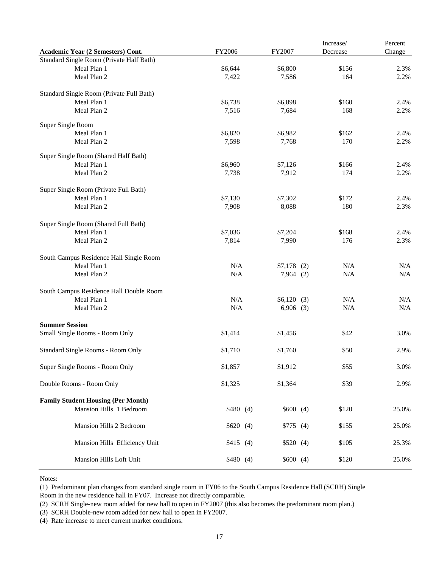|                                           |          |                | Increase/ | Percent |
|-------------------------------------------|----------|----------------|-----------|---------|
| Academic Year (2 Semesters) Cont.         | FY2006   | FY2007         | Decrease  | Change  |
| Standard Single Room (Private Half Bath)  |          |                |           |         |
| Meal Plan 1                               | \$6,644  | \$6,800        | \$156     | 2.3%    |
| Meal Plan 2                               | 7,422    | 7,586          | 164       | 2.2%    |
| Standard Single Room (Private Full Bath)  |          |                |           |         |
| Meal Plan 1                               | \$6,738  | \$6,898        | \$160     | 2.4%    |
| Meal Plan 2                               | 7,516    | 7,684          | 168       | 2.2%    |
| Super Single Room                         |          |                |           |         |
| Meal Plan 1                               | \$6,820  | \$6,982        | \$162     | 2.4%    |
| Meal Plan 2                               | 7,598    | 7,768          | 170       | 2.2%    |
| Super Single Room (Shared Half Bath)      |          |                |           |         |
| Meal Plan 1                               | \$6,960  | \$7,126        | \$166     | 2.4%    |
| Meal Plan 2                               | 7,738    | 7,912          | 174       | 2.2%    |
| Super Single Room (Private Full Bath)     |          |                |           |         |
| Meal Plan 1                               | \$7,130  | \$7,302        | \$172     | 2.4%    |
| Meal Plan 2                               | 7,908    | 8,088          | 180       | 2.3%    |
| Super Single Room (Shared Full Bath)      |          |                |           |         |
| Meal Plan 1                               | \$7,036  | \$7,204        | \$168     | 2.4%    |
| Meal Plan 2                               | 7,814    | 7,990          | 176       | 2.3%    |
| South Campus Residence Hall Single Room   |          |                |           |         |
| Meal Plan 1                               | N/A      | $$7,178$ (2)   | N/A       | N/A     |
| Meal Plan 2                               | N/A      | $7,964$ (2)    | N/A       | N/A     |
| South Campus Residence Hall Double Room   |          |                |           |         |
| Meal Plan 1                               | N/A      | \$6,120<br>(3) | N/A       | N/A     |
| Meal Plan 2                               | N/A      | $6,906$ (3)    | N/A       | N/A     |
| <b>Summer Session</b>                     |          |                |           |         |
| Small Single Rooms - Room Only            | \$1,414  | \$1,456        | \$42      | 3.0%    |
| Standard Single Rooms - Room Only         | \$1,710  | \$1,760        | \$50      | 2.9%    |
| Super Single Rooms - Room Only            | \$1,857  | \$1,912        | \$55      | 3.0%    |
| Double Rooms - Room Only                  | \$1,325  | \$1,364        | \$39      | 2.9%    |
| <b>Family Student Housing (Per Month)</b> |          |                |           |         |
| Mansion Hills 1 Bedroom                   | \$480(4) | \$600(4)       | \$120     | 25.0%   |
| Mansion Hills 2 Bedroom                   | \$620(4) | \$775(4)       | \$155     | 25.0%   |
| Mansion Hills Efficiency Unit             | \$415(4) | \$520(4)       | \$105     | 25.3%   |
| Mansion Hills Loft Unit                   | \$480(4) | \$600(4)       | \$120     | 25.0%   |

Notes:

(1) Predominant plan changes from standard single room in FY06 to the South Campus Residence Hall (SCRH) Single Room in the new residence hall in FY07. Increase not directly comparable.

(2) SCRH Single-new room added for new hall to open in FY2007 (this also becomes the predominant room plan.)

(3) SCRH Double-new room added for new hall to open in FY2007.

(4) Rate increase to meet current market conditions.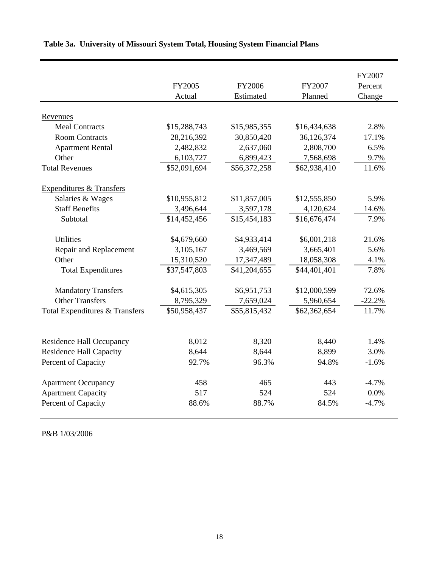|                                     | FY2005<br>Actual | FY2006<br>Estimated | FY2007<br>Planned | FY2007<br>Percent<br>Change |
|-------------------------------------|------------------|---------------------|-------------------|-----------------------------|
|                                     |                  |                     |                   |                             |
| Revenues                            |                  |                     |                   |                             |
| <b>Meal Contracts</b>               | \$15,288,743     | \$15,985,355        | \$16,434,638      | 2.8%                        |
| <b>Room Contracts</b>               | 28,216,392       | 30,850,420          | 36,126,374        | 17.1%                       |
| <b>Apartment Rental</b>             | 2,482,832        | 2,637,060           | 2,808,700         | 6.5%                        |
| Other                               | 6,103,727        | 6,899,423           | 7,568,698         | 9.7%                        |
| <b>Total Revenues</b>               | \$52,091,694     | \$56,372,258        | \$62,938,410      | 11.6%                       |
| <b>Expenditures &amp; Transfers</b> |                  |                     |                   |                             |
| Salaries & Wages                    | \$10,955,812     | \$11,857,005        | \$12,555,850      | 5.9%                        |
| <b>Staff Benefits</b>               | 3,496,644        | 3,597,178           | 4,120,624         | 14.6%                       |
| Subtotal                            | \$14,452,456     | \$15,454,183        | \$16,676,474      | 7.9%                        |
|                                     |                  |                     |                   |                             |
| <b>Utilities</b>                    | \$4,679,660      | \$4,933,414         | \$6,001,218       | 21.6%                       |
| Repair and Replacement              | 3,105,167        | 3,469,569           | 3,665,401         | 5.6%                        |
| Other                               | 15,310,520       | 17,347,489          | 18,058,308        | 4.1%                        |
| <b>Total Expenditures</b>           | \$37,547,803     | \$41,204,655        | \$44,401,401      | 7.8%                        |
| <b>Mandatory Transfers</b>          | \$4,615,305      | \$6,951,753         | \$12,000,599      | 72.6%                       |
| <b>Other Transfers</b>              | 8,795,329        | 7,659,024           | 5,960,654         | $-22.2%$                    |
| Total Expenditures & Transfers      | \$50,958,437     | \$55,815,432        | \$62,362,654      | 11.7%                       |
|                                     |                  |                     |                   |                             |
| <b>Residence Hall Occupancy</b>     | 8,012            | 8,320               | 8,440             | 1.4%                        |
| <b>Residence Hall Capacity</b>      | 8,644            | 8,644               | 8,899             | 3.0%                        |
| Percent of Capacity                 | 92.7%            | 96.3%               | 94.8%             | $-1.6%$                     |
| <b>Apartment Occupancy</b>          | 458              | 465                 | 443               | $-4.7%$                     |
| <b>Apartment Capacity</b>           | 517              | 524                 | 524               | 0.0%                        |
| Percent of Capacity                 | 88.6%            | 88.7%               | 84.5%             | $-4.7%$                     |
|                                     |                  |                     |                   |                             |

# **Table 3a. University of Missouri System Total, Housing System Financial Plans**

P&B 1/03/2006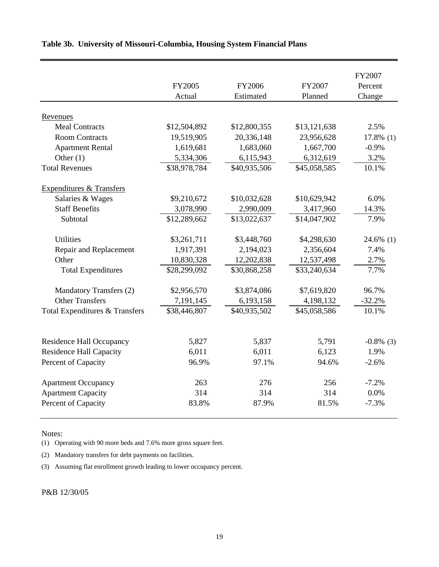|                                           |              |              |              | FY2007       |
|-------------------------------------------|--------------|--------------|--------------|--------------|
|                                           | FY2005       | FY2006       | FY2007       | Percent      |
|                                           | Actual       | Estimated    | Planned      | Change       |
| Revenues                                  |              |              |              |              |
| <b>Meal Contracts</b>                     | \$12,504,892 | \$12,800,355 | \$13,121,638 | 2.5%         |
| <b>Room Contracts</b>                     | 19,519,905   | 20,336,148   | 23,956,628   | $17.8\%$ (1) |
| <b>Apartment Rental</b>                   | 1,619,681    | 1,683,060    | 1,667,700    | $-0.9%$      |
| Other $(1)$                               | 5,334,306    | 6,115,943    | 6,312,619    | 3.2%         |
| <b>Total Revenues</b>                     | \$38,978,784 | \$40,935,506 | \$45,058,585 | 10.1%        |
| Expenditures & Transfers                  |              |              |              |              |
| Salaries & Wages                          | \$9,210,672  | \$10,032,628 | \$10,629,942 | 6.0%         |
| <b>Staff Benefits</b>                     | 3,078,990    | 2,990,009    | 3,417,960    | 14.3%        |
| Subtotal                                  | \$12,289,662 | \$13,022,637 | \$14,047,902 | 7.9%         |
| <b>Utilities</b>                          | \$3,261,711  | \$3,448,760  | \$4,298,630  | 24.6% (1)    |
| Repair and Replacement                    | 1,917,391    | 2,194,023    | 2,356,604    | 7.4%         |
| Other                                     | 10,830,328   | 12,202,838   | 12,537,498   | 2.7%         |
| <b>Total Expenditures</b>                 | \$28,299,092 | \$30,868,258 | \$33,240,634 | 7.7%         |
| Mandatory Transfers (2)                   | \$2,956,570  | \$3,874,086  | \$7,619,820  | 96.7%        |
| <b>Other Transfers</b>                    | 7,191,145    | 6,193,158    | 4,198,132    | $-32.2%$     |
| <b>Total Expenditures &amp; Transfers</b> | \$38,446,807 | \$40,935,502 | \$45,058,586 | 10.1%        |
|                                           |              |              |              |              |
| <b>Residence Hall Occupancy</b>           | 5,827        | 5,837        | 5,791        | $-0.8\%$ (3) |
| <b>Residence Hall Capacity</b>            | 6,011        | 6,011        | 6,123        | 1.9%         |
| Percent of Capacity                       | 96.9%        | 97.1%        | 94.6%        | $-2.6%$      |
| <b>Apartment Occupancy</b>                | 263          | 276          | 256          | $-7.2%$      |
| <b>Apartment Capacity</b>                 | 314          | 314          | 314          | 0.0%         |
| Percent of Capacity                       | 83.8%        | 87.9%        | 81.5%        | $-7.3%$      |

### **Table 3b. University of Missouri-Columbia, Housing System Financial Plans**

Notes:

(1) Operating with 90 more beds and 7.6% more gross square feet.

(2) Mandatory transfers for debt payments on facilities.

(3) Assuming flat enrollment growth leading to lower occupancy percent.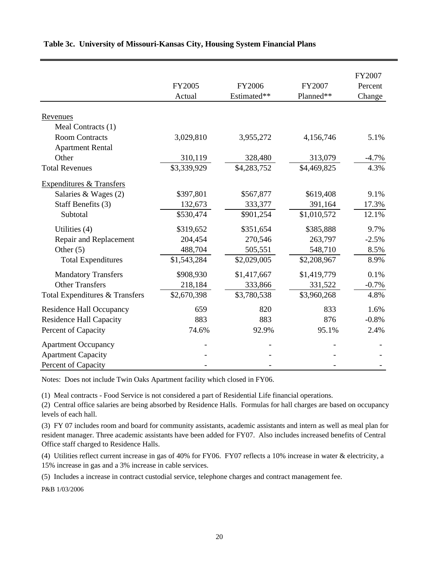|                                     |             |             |             | FY2007  |
|-------------------------------------|-------------|-------------|-------------|---------|
|                                     | FY2005      | FY2006      | FY2007      | Percent |
|                                     | Actual      | Estimated** | Planned**   | Change  |
| Revenues                            |             |             |             |         |
| Meal Contracts (1)                  |             |             |             |         |
| <b>Room Contracts</b>               | 3,029,810   | 3,955,272   | 4,156,746   | 5.1%    |
| <b>Apartment Rental</b>             |             |             |             |         |
| Other                               | 310,119     | 328,480     | 313,079     | $-4.7%$ |
| <b>Total Revenues</b>               | \$3,339,929 | \$4,283,752 | \$4,469,825 | 4.3%    |
| <b>Expenditures &amp; Transfers</b> |             |             |             |         |
| Salaries & Wages (2)                | \$397,801   | \$567,877   | \$619,408   | 9.1%    |
| Staff Benefits (3)                  | 132,673     | 333,377     | 391,164     | 17.3%   |
| Subtotal                            | \$530,474   | \$901,254   | \$1,010,572 | 12.1%   |
| Utilities (4)                       | \$319,652   | \$351,654   | \$385,888   | 9.7%    |
| Repair and Replacement              | 204,454     | 270,546     | 263,797     | $-2.5%$ |
| Other $(5)$                         | 488,704     | 505,551     | 548,710     | 8.5%    |
| <b>Total Expenditures</b>           | \$1,543,284 | \$2,029,005 | \$2,208,967 | 8.9%    |
| <b>Mandatory Transfers</b>          | \$908,930   | \$1,417,667 | \$1,419,779 | 0.1%    |
| <b>Other Transfers</b>              | 218,184     | 333,866     | 331,522     | $-0.7%$ |
| Total Expenditures & Transfers      | \$2,670,398 | \$3,780,538 | \$3,960,268 | 4.8%    |
| <b>Residence Hall Occupancy</b>     | 659         | 820         | 833         | 1.6%    |
| <b>Residence Hall Capacity</b>      | 883         | 883         | 876         | $-0.8%$ |
| Percent of Capacity                 | 74.6%       | 92.9%       | 95.1%       | 2.4%    |
| <b>Apartment Occupancy</b>          |             |             |             |         |
| <b>Apartment Capacity</b>           |             |             |             |         |
| Percent of Capacity                 |             |             |             |         |

### **Table 3c. University of Missouri-Kansas City, Housing System Financial Plans**

Notes: Does not include Twin Oaks Apartment facility which closed in FY06.

(1) Meal contracts - Food Service is not considered a part of Residential Life financial operations.

(2) Central office salaries are being absorbed by Residence Halls. Formulas for hall charges are based on occupancy levels of each hall.

(3) FY 07 includes room and board for community assistants, academic assistants and intern as well as meal plan for resident manager. Three academic assistants have been added for FY07. Also includes increased benefits of Central Office staff charged to Residence Halls.

(4) Utilities reflect current increase in gas of 40% for FY06. FY07 reflects a 10% increase in water & electricity, a 15% increase in gas and a 3% increase in cable services.

(5) Includes a increase in contract custodial service, telephone charges and contract management fee.

P&B 1/03/2006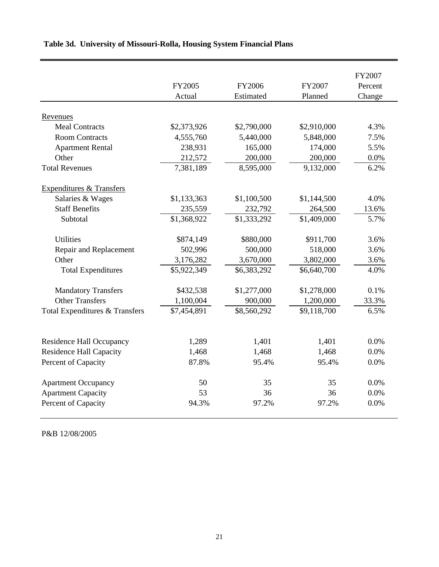|                                     | FY2005      | FY2006      | FY2007      | FY2007<br>Percent |
|-------------------------------------|-------------|-------------|-------------|-------------------|
|                                     | Actual      | Estimated   | Planned     | Change            |
| Revenues                            |             |             |             |                   |
| <b>Meal Contracts</b>               | \$2,373,926 | \$2,790,000 | \$2,910,000 | 4.3%              |
| <b>Room Contracts</b>               | 4,555,760   | 5,440,000   | 5,848,000   | 7.5%              |
| <b>Apartment Rental</b>             | 238,931     | 165,000     | 174,000     | 5.5%              |
| Other                               | 212,572     | 200,000     | 200,000     | 0.0%              |
| <b>Total Revenues</b>               | 7,381,189   | 8,595,000   | 9,132,000   | 6.2%              |
| <b>Expenditures &amp; Transfers</b> |             |             |             |                   |
| Salaries & Wages                    | \$1,133,363 | \$1,100,500 | \$1,144,500 | 4.0%              |
| <b>Staff Benefits</b>               | 235,559     | 232,792     | 264,500     | 13.6%             |
| Subtotal                            | \$1,368,922 | \$1,333,292 | \$1,409,000 | 5.7%              |
| <b>Utilities</b>                    | \$874,149   | \$880,000   | \$911,700   | 3.6%              |
| Repair and Replacement              | 502,996     | 500,000     | 518,000     | 3.6%              |
| Other                               | 3,176,282   | 3,670,000   | 3,802,000   | 3.6%              |
| <b>Total Expenditures</b>           | \$5,922,349 | \$6,383,292 | \$6,640,700 | 4.0%              |
| <b>Mandatory Transfers</b>          | \$432,538   | \$1,277,000 | \$1,278,000 | 0.1%              |
| <b>Other Transfers</b>              | 1,100,004   | 900,000     | 1,200,000   | 33.3%             |
| Total Expenditures & Transfers      | \$7,454,891 | \$8,560,292 | \$9,118,700 | 6.5%              |
|                                     |             |             |             |                   |
| Residence Hall Occupancy            | 1,289       | 1,401       | 1,401       | 0.0%              |
| <b>Residence Hall Capacity</b>      | 1,468       | 1,468       | 1,468       | 0.0%              |
| Percent of Capacity                 | 87.8%       | 95.4%       | 95.4%       | 0.0%              |
| <b>Apartment Occupancy</b>          | 50          | 35          | 35          | 0.0%              |
| <b>Apartment Capacity</b>           | 53          | 36          | 36          | 0.0%              |
| Percent of Capacity                 | 94.3%       | 97.2%       | 97.2%       | 0.0%              |

## **Table 3d. University of Missouri-Rolla, Housing System Financial Plans**

P&B 12/08/2005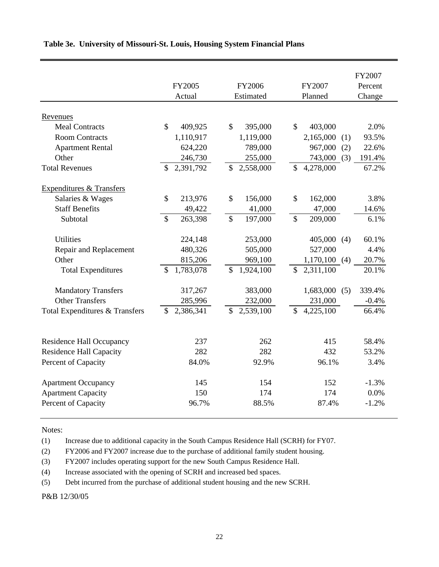|                                                                   |                           |                            |                                        | FY2007        |
|-------------------------------------------------------------------|---------------------------|----------------------------|----------------------------------------|---------------|
|                                                                   | FY2005                    | FY2006                     | FY2007                                 | Percent       |
|                                                                   | Actual                    | Estimated                  | Planned                                | Change        |
| Revenues                                                          |                           |                            |                                        |               |
| <b>Meal Contracts</b>                                             | $\mathbb{S}$<br>409,925   | $\mathbb{S}$<br>395,000    | $\mathbb{S}$<br>403,000                | 2.0%          |
| <b>Room Contracts</b>                                             | 1,110,917                 | 1,119,000                  | 2,165,000                              | 93.5%<br>(1)  |
| <b>Apartment Rental</b>                                           | 624,220                   | 789,000                    | 967,000                                | (2)<br>22.6%  |
| Other                                                             | 246,730                   | 255,000                    | 743,000                                | (3)<br>191.4% |
| <b>Total Revenues</b>                                             | 2,391,792<br>\$           | 2,558,000<br>\$            | 4,278,000<br>$\mathcal{S}$             | 67.2%         |
| <b>Expenditures &amp; Transfers</b>                               |                           |                            |                                        |               |
| Salaries & Wages                                                  | \$<br>213,976             | \$<br>156,000              | \$<br>162,000                          | 3.8%          |
| <b>Staff Benefits</b>                                             | 49,422                    | 41,000                     | 47,000                                 | 14.6%         |
| Subtotal                                                          | \$<br>263,398             | $\mathcal{S}$<br>197,000   | $\mathbb{S}$<br>209,000                | 6.1%          |
| <b>Utilities</b>                                                  | 224,148                   | 253,000                    | 405,000                                | 60.1%<br>(4)  |
| Repair and Replacement                                            | 480,326                   | 505,000                    | 527,000                                | 4.4%          |
| Other                                                             | 815,206                   | 969,100                    | 1,170,100                              | (4)<br>20.7%  |
| <b>Total Expenditures</b>                                         | \$<br>1,783,078           | 1,924,100<br>$\mathcal{S}$ | $\mathbb{S}$<br>2,311,100              | 20.1%         |
| <b>Mandatory Transfers</b>                                        | 317,267                   | 383,000                    | 1,683,000                              | (5)<br>339.4% |
| <b>Other Transfers</b>                                            | 285,996                   | 232,000                    | 231,000                                | $-0.4%$       |
| Total Expenditures & Transfers                                    | 2,386,341<br>$\mathbb{S}$ | 2,539,100<br>\$            | $\overline{4,225,100}$<br>$\mathbb{S}$ | 66.4%         |
|                                                                   | 237                       | 262                        | 415                                    | 58.4%         |
| <b>Residence Hall Occupancy</b><br><b>Residence Hall Capacity</b> | 282                       | 282                        | 432                                    | 53.2%         |
|                                                                   | 84.0%                     | 92.9%                      | 96.1%                                  | 3.4%          |
| Percent of Capacity                                               |                           |                            |                                        |               |
| <b>Apartment Occupancy</b>                                        | 145                       | 154                        | 152                                    | $-1.3%$       |
| <b>Apartment Capacity</b>                                         | 150                       | 174                        | 174                                    | 0.0%          |
| Percent of Capacity                                               | 96.7%                     | 88.5%                      | 87.4%                                  | $-1.2%$       |

### **Table 3e. University of Missouri-St. Louis, Housing System Financial Plans**

Notes:

(1) Increase due to additional capacity in the South Campus Residence Hall (SCRH) for FY07.

(2) FY2006 and FY2007 increase due to the purchase of additional family student housing.

(3) FY2007 includes operating support for the new South Campus Residence Hall.

(4) Increase associated with the opening of SCRH and increased bed spaces.

(5) Debt incurred from the purchase of additional student housing and the new SCRH.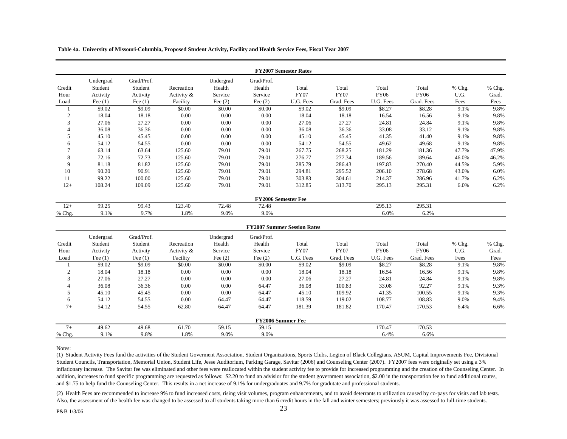**Table 4a. University of Missouri-Columbia, Proposed Student Activity, Facility and Health Service Fees, Fiscal Year 2007**

|               |           |            | <b>FY2007 Semester Rates</b> |           |                            |             |             |             |             |          |        |  |  |  |  |
|---------------|-----------|------------|------------------------------|-----------|----------------------------|-------------|-------------|-------------|-------------|----------|--------|--|--|--|--|
|               | Undergrad | Grad/Prof. |                              | Undergrad | Grad/Prof.                 |             |             |             |             |          |        |  |  |  |  |
| Credit        | Student   | Student    | Recreation                   | Health    | Health                     | Total       | Total       | Total       | Total       | $%$ Chg. | % Chg. |  |  |  |  |
| Hour          | Activity  | Activity   | Activity &                   | Service   | Service                    | <b>FY07</b> | <b>FY07</b> | <b>FY06</b> | <b>FY06</b> | U.G.     | Grad.  |  |  |  |  |
| Load          | Fee $(1)$ | Fee $(1)$  | Facility                     | Fee $(2)$ | Fee $(2)$                  | U.G. Fees   | Grad. Fees  | U.G. Fees   | Grad. Fees  | Fees     | Fees   |  |  |  |  |
|               | \$9.02    | \$9.09     | \$0.00                       | \$0.00    | \$0.00                     | \$9.02      | \$9.09      | \$8.27      | \$8.28      | 9.1%     | 9.8%   |  |  |  |  |
| $\mathcal{L}$ | 18.04     | 18.18      | 0.00                         | 0.00      | 0.00                       | 18.04       | 18.18       | 16.54       | 16.56       | 9.1%     | 9.8%   |  |  |  |  |
| 3             | 27.06     | 27.27      | 0.00                         | 0.00      | 0.00                       | 27.06       | 27.27       | 24.81       | 24.84       | 9.1%     | 9.8%   |  |  |  |  |
| 4             | 36.08     | 36.36      | 0.00                         | 0.00      | 0.00                       | 36.08       | 36.36       | 33.08       | 33.12       | 9.1%     | 9.8%   |  |  |  |  |
| 5             | 45.10     | 45.45      | 0.00                         | 0.00      | 0.00                       | 45.10       | 45.45       | 41.35       | 41.40       | 9.1%     | 9.8%   |  |  |  |  |
| 6             | 54.12     | 54.55      | 0.00                         | 0.00      | 0.00                       | 54.12       | 54.55       | 49.62       | 49.68       | 9.1%     | 9.8%   |  |  |  |  |
|               | 63.14     | 63.64      | 125.60                       | 79.01     | 79.01                      | 267.75      | 268.25      | 181.29      | 181.36      | 47.7%    | 47.9%  |  |  |  |  |
| 8             | 72.16     | 72.73      | 125.60                       | 79.01     | 79.01                      | 276.77      | 277.34      | 189.56      | 189.64      | 46.0%    | 46.2%  |  |  |  |  |
| 9             | 81.18     | 81.82      | 125.60                       | 79.01     | 79.01                      | 285.79      | 286.43      | 197.83      | 270.40      | 44.5%    | 5.9%   |  |  |  |  |
| 10            | 90.20     | 90.91      | 125.60                       | 79.01     | 79.01                      | 294.81      | 295.52      | 206.10      | 278.68      | 43.0%    | 6.0%   |  |  |  |  |
| 11            | 99.22     | 100.00     | 125.60                       | 79.01     | 79.01                      | 303.83      | 304.61      | 214.37      | 286.96      | 41.7%    | 6.2%   |  |  |  |  |
| $12+$         | 108.24    | 109.09     | 125.60                       | 79.01     | 79.01                      | 312.85      | 313.70      | 295.13      | 295.31      | 6.0%     | 6.2%   |  |  |  |  |
|               |           |            |                              |           | <b>FY2006 Semester Fee</b> |             |             |             |             |          |        |  |  |  |  |
| $12+$         | 99.25     | 99.43      | 123.40                       | 72.48     | 72.48                      |             |             | 295.13      | 295.31      |          |        |  |  |  |  |
| % Chg.        | 9.1%      | 9.7%       | 1.8%                         | 9.0%      | 9.0%                       |             |             | 6.0%        | 6.2%        |          |        |  |  |  |  |

|                |                                  |                                   |                          |                                |                                 | <b>FY2007 Summer Session Rates</b> |                      |               |                      |                  |                 |
|----------------|----------------------------------|-----------------------------------|--------------------------|--------------------------------|---------------------------------|------------------------------------|----------------------|---------------|----------------------|------------------|-----------------|
| Credit<br>Hour | Undergrad<br>Student<br>Activity | Grad/Prof.<br>Student<br>Activity | Recreation<br>Activity & | Undergrad<br>Health<br>Service | Grad/Prof.<br>Health<br>Service | Total<br><b>FY07</b>               | Total<br><b>FY07</b> | Total<br>FY06 | Total<br><b>FY06</b> | $%$ Chg.<br>U.G. | % Chg.<br>Grad. |
| Load           | Fee $(1)$                        | Fee $(1)$                         | Facility                 | Fee $(2)$                      | Fee $(2)$                       | U.G. Fees                          | Grad. Fees           | U.G. Fees     | Grad. Fees           | Fees             | Fees            |
|                | \$9.02                           | \$9.09                            | \$0.00                   | \$0.00                         | \$0.00                          | \$9.02                             | \$9.09               | \$8.27        | \$8.28               | 9.1%             | 9.8%            |
| 2              | 18.04                            | 18.18                             | 0.00                     | 0.00                           | 0.00                            | 18.04                              | 18.18                | 16.54         | 16.56                | 9.1%             | 9.8%            |
| 3              | 27.06                            | 27.27                             | 0.00                     | 0.00                           | 0.00                            | 27.06                              | 27.27                | 24.81         | 24.84                | 9.1%             | 9.8%            |
| 4              | 36.08                            | 36.36                             | 0.00                     | 0.00                           | 64.47                           | 36.08                              | 100.83               | 33.08         | 92.27                | 9.1%             | 9.3%            |
| 5              | 45.10                            | 45.45                             | 0.00                     | 0.00                           | 64.47                           | 45.10                              | 109.92               | 41.35         | 100.55               | 9.1%             | 9.3%            |
| 6              | 54.12                            | 54.55                             | 0.00                     | 64.47                          | 64.47                           | 118.59                             | 119.02               | 108.77        | 108.83               | 9.0%             | 9.4%            |
| $7+$           | 54.12                            | 54.55                             | 62.80                    | 64.47                          | 64.47                           | 181.39                             | 181.82               | 170.47        | 170.53               | 6.4%             | 6.6%            |
|                |                                  |                                   |                          |                                | <b>FY2006 Summer Fee</b>        |                                    |                      |               |                      |                  |                 |
| $7+$           | 49.62                            | 49.68                             | 61.70                    | 59.15                          | 59.15                           |                                    |                      | 170.47        | 170.53               |                  |                 |
| % Chg.         | 9.1%                             | 9.8%                              | 1.8%                     | 9.0%                           | 9.0%                            |                                    |                      | 6.4%          | 6.6%                 |                  |                 |

#### Notes:

(1) Student Activity Fees fund the activities of the Student Goverment Association, Student Organizations, Sports Clubs, Legion of Black Collegians, ASUM, Capital Improvements Fee, Divisional Student Councils, Transportation, Memorial Union, Student Life, Jesse Auditorium, Parking Garage, Savitar (2006) and Counseling Center (2007). FY2007 fees were originally set using a 3% inflationary increase. The Savitar fee was eliminated and other fees were reallocated within the student activity fee to provide for increased programming and the creation of the Counseling Center. In addition, increases to fund specific programming are requested as follows: \$2.20 to fund an advisior for the student government association, \$2.00 in the transportation fee to fund additional routes, and \$1.75 to help fund the Counseling Center. This results in a net increase of 9.1% for undergraduates and 9.7% for gradutate and professional students.

(2) Health Fees are recommended to increase 9% to fund increased costs, rising visit volumes, program enhancements, and to avoid deterrants to utilization caused by co-pays for visits and lab tests. Also, the assessment of the health fee was changed to be assessed to all students taking more than 6 credit hours in the fall and winter semesters; previously it was assessed to full-time students.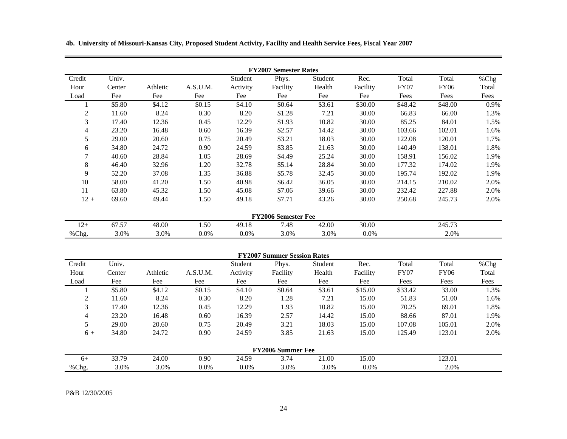**4b. University of Missouri-Kansas City, Proposed Student Activity, Facility and Health Service Fees, Fiscal Year 2007**

|                  |        |          |          |          | <b>FY2007 Semester Rates</b>       |         |          |             |             |       |
|------------------|--------|----------|----------|----------|------------------------------------|---------|----------|-------------|-------------|-------|
| Credit           | Univ.  |          |          | Student  | Phys.                              | Student | Rec.     | Total       | Total       | %Chg  |
| Hour             | Center | Athletic | A.S.U.M. | Activity | Facility                           | Health  | Facility | <b>FY07</b> | <b>FY06</b> | Total |
| Load             | Fee    | Fee      | Fee      | Fee      | Fee                                | Fee     | Fee      | Fees        | Fees        | Fees  |
|                  | \$5.80 | \$4.12   | \$0.15   | \$4.10   | \$0.64                             | \$3.61  | \$30.00  | \$48.42     | \$48.00     | 0.9%  |
| $\boldsymbol{2}$ | 11.60  | 8.24     | 0.30     | 8.20     | \$1.28                             | 7.21    | 30.00    | 66.83       | 66.00       | 1.3%  |
| 3                | 17.40  | 12.36    | 0.45     | 12.29    | \$1.93                             | 10.82   | 30.00    | 85.25       | 84.01       | 1.5%  |
| 4                | 23.20  | 16.48    | 0.60     | 16.39    | \$2.57                             | 14.42   | 30.00    | 103.66      | 102.01      | 1.6%  |
| 5                | 29.00  | 20.60    | 0.75     | 20.49    | \$3.21                             | 18.03   | 30.00    | 122.08      | 120.01      | 1.7%  |
| 6                | 34.80  | 24.72    | 0.90     | 24.59    | \$3.85                             | 21.63   | 30.00    | 140.49      | 138.01      | 1.8%  |
| 7                | 40.60  | 28.84    | 1.05     | 28.69    | \$4.49                             | 25.24   | 30.00    | 158.91      | 156.02      | 1.9%  |
| 8                | 46.40  | 32.96    | 1.20     | 32.78    | \$5.14                             | 28.84   | 30.00    | 177.32      | 174.02      | 1.9%  |
| 9                | 52.20  | 37.08    | 1.35     | 36.88    | \$5.78                             | 32.45   | 30.00    | 195.74      | 192.02      | 1.9%  |
| 10               | 58.00  | 41.20    | 1.50     | 40.98    | \$6.42                             | 36.05   | 30.00    | 214.15      | 210.02      | 2.0%  |
| 11               | 63.80  | 45.32    | 1.50     | 45.08    | \$7.06                             | 39.66   | 30.00    | 232.42      | 227.88      | 2.0%  |
| $12 +$           | 69.60  | 49.44    | 1.50     | 49.18    | \$7.71                             | 43.26   | 30.00    | 250.68      | 245.73      | 2.0%  |
|                  |        |          |          |          | <b>FY2006 Semester Fee</b>         |         |          |             |             |       |
| $12+$            | 67.57  | 48.00    | 1.50     | 49.18    | 7.48                               | 42.00   | 30.00    |             | 245.73      |       |
| %Chg.            | 3.0%   | 3.0%     | $0.0\%$  | $0.0\%$  | 3.0%                               | 3.0%    | 0.0%     |             | 2.0%        |       |
|                  |        |          |          |          | <b>FY2007 Summer Session Rates</b> |         |          |             |             |       |
| Credit           | Univ.  |          |          | Student  | Phys.                              | Student | Rec.     | Total       | Total       | %Chg  |
| Hour             | Center | Athletic | A.S.U.M. | Activity | Facility                           | Health  | Facility | <b>FY07</b> | <b>FY06</b> | Total |
| Load             | Fee    | Fee      | Fee      | Fee      | Fee                                | Fee     | Fee      | Fees        | Fees        | Fees  |

|       | \$5.80 | \$4.12 | \$0.15 | \$4.10 | \$0.64                   | \$3.61 | \$15.00 | \$33.42 | 33.00  | 1.3% |
|-------|--------|--------|--------|--------|--------------------------|--------|---------|---------|--------|------|
|       | 11.60  | 8.24   | 0.30   | 8.20   | 1.28                     | 7.21   | 15.00   | 51.83   | 51.00  | 1.6% |
| 3     | 17.40  | 12.36  | 0.45   | 12.29  | 1.93                     | 10.82  | 15.00   | 70.25   | 69.01  | 1.8% |
| 4     | 23.20  | 16.48  | 0.60   | 16.39  | 2.57                     | 14.42  | 15.00   | 88.66   | 87.01  | 1.9% |
|       | 29.00  | 20.60  | 0.75   | 20.49  | 3.21                     | 18.03  | 15.00   | 107.08  | 105.01 | 2.0% |
| $6+$  | 34.80  | 24.72  | 0.90   | 24.59  | 3.85                     | 21.63  | 15.00   | 125.49  | 123.01 | 2.0% |
|       |        |        |        |        | <b>FY2006 Summer Fee</b> |        |         |         |        |      |
| $6+$  | 33.79  | 24.00  | 0.90   | 24.59  | 3.74                     | 21.00  | 15.00   |         | 123.01 |      |
| %Chg. | 3.0%   | 3.0%   | 0.0%   | 0.0%   | 3.0%                     | 3.0%   | $0.0\%$ |         | 2.0%   |      |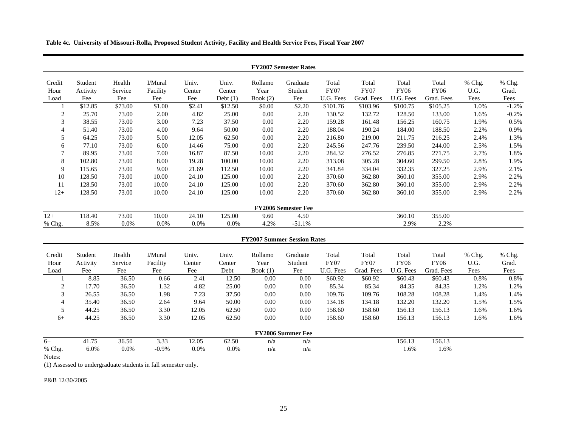**Table 4c. University of Missouri-Rolla, Proposed Student Activity, Facility and Health Service Fees, Fiscal Year 2007**

|                        |                            |                          |                            |                        |                               |                               | <b>FY2007 Semester Rates</b>       |                                   |                             |                                   |                                    |                        |                         |
|------------------------|----------------------------|--------------------------|----------------------------|------------------------|-------------------------------|-------------------------------|------------------------------------|-----------------------------------|-----------------------------|-----------------------------------|------------------------------------|------------------------|-------------------------|
| Credit<br>Hour<br>Load | Student<br>Activity<br>Fee | Health<br>Service<br>Fee | I/Mural<br>Facility<br>Fee | Univ.<br>Center<br>Fee | Univ.<br>Center<br>Debt $(1)$ | Rollamo<br>Year<br>Book $(2)$ | Graduate<br>Student<br>Fee         | Total<br><b>FY07</b><br>U.G. Fees | Total<br>FY07<br>Grad. Fees | Total<br><b>FY06</b><br>U.G. Fees | Total<br><b>FY06</b><br>Grad. Fees | % Chg.<br>U.G.<br>Fees | % Chg.<br>Grad.<br>Fees |
|                        | \$12.85                    | \$73.00                  | \$1.00                     | \$2.41                 | \$12.50                       | \$0.00                        | \$2.20                             | \$101.76                          | \$103.96                    | \$100.75                          | \$105.25                           | 1.0%                   | $-1.2%$                 |
| 2                      | 25.70                      | 73.00                    | 2.00                       | 4.82                   | 25.00                         | 0.00                          | 2.20                               | 130.52                            | 132.72                      | 128.50                            | 133.00                             | 1.6%                   | $-0.2%$                 |
| 3                      | 38.55                      | 73.00                    | 3.00                       | 7.23                   | 37.50                         | 0.00                          | 2.20                               | 159.28                            | 161.48                      | 156.25                            | 160.75                             | 1.9%                   | 0.5%                    |
| 4                      | 51.40                      | 73.00                    | 4.00                       | 9.64                   | 50.00                         | 0.00                          | 2.20                               | 188.04                            | 190.24                      | 184.00                            | 188.50                             | 2.2%                   | 0.9%                    |
| 5                      | 64.25                      | 73.00                    | 5.00                       | 12.05                  | 62.50                         | 0.00                          | 2.20                               | 216.80                            | 219.00                      | 211.75                            | 216.25                             | 2.4%                   | 1.3%                    |
| 6                      | 77.10                      | 73.00                    | 6.00                       | 14.46                  | 75.00                         | 0.00                          | 2.20                               | 245.56                            | 247.76                      | 239.50                            | 244.00                             | 2.5%                   | 1.5%                    |
| $\tau$                 | 89.95                      | 73.00                    | 7.00                       | 16.87                  | 87.50                         | 10.00                         | 2.20                               | 284.32                            | 276.52                      | 276.85                            | 271.75                             | 2.7%                   | 1.8%                    |
| 8                      | 102.80                     | 73.00                    | 8.00                       | 19.28                  | 100.00                        | 10.00                         | 2.20                               | 313.08                            | 305.28                      | 304.60                            | 299.50                             | 2.8%                   | 1.9%                    |
| 9                      | 115.65                     | 73.00                    | 9.00                       | 21.69                  | 112.50                        | 10.00                         | 2.20                               | 341.84                            | 334.04                      | 332.35                            | 327.25                             | 2.9%                   | 2.1%                    |
| 10                     | 128.50                     | 73.00                    | 10.00                      | 24.10                  | 125.00                        | 10.00                         | 2.20                               | 370.60                            | 362.80                      | 360.10                            | 355.00                             | 2.9%                   | 2.2%                    |
| 11                     | 128.50                     | 73.00                    | 10.00                      | 24.10                  | 125.00                        | 10.00                         | 2.20                               | 370.60                            | 362.80                      | 360.10                            | 355.00                             | 2.9%                   | 2.2%                    |
| $12+$                  | 128.50                     | 73.00                    | 10.00                      | 24.10                  | 125.00                        | 10.00                         | 2.20                               | 370.60                            | 362.80                      | 360.10                            | 355.00                             | 2.9%                   | 2.2%                    |
|                        |                            |                          |                            |                        |                               |                               | FY2006 Semester Fee                |                                   |                             |                                   |                                    |                        |                         |
| $12+$                  | 118.40                     | 73.00                    | 10.00                      | 24.10                  | 125.00                        | 9.60                          | 4.50                               |                                   |                             | 360.10                            | 355.00                             |                        |                         |
| % Chg.                 | 8.5%                       | 0.0%                     | 0.0%                       | 0.0%                   | 0.0%                          | 4.2%                          | $-51.1%$                           |                                   |                             | 2.9%                              | 2.2%                               |                        |                         |
|                        |                            |                          |                            |                        |                               |                               | <b>FY2007 Summer Session Rates</b> |                                   |                             |                                   |                                    |                        |                         |
| Credit                 | Student                    | Health                   | I/Mural                    | Univ.                  | Univ.                         | Rollamo                       | Graduate                           | Total                             | Total                       | Total                             | Total                              | % Chg.                 | % Chg.                  |
| Hour                   | Activity                   | Service                  | Facility                   | Center                 | Center                        | Year                          | Student                            | <b>FY07</b>                       | <b>FY07</b>                 | <b>FY06</b>                       | <b>FY06</b>                        | U.G.                   | Grad.                   |
| Load                   | Fee                        | Fee                      | Fee                        | Fee                    | Debt                          | Book $(1)$                    | Fee                                | U.G. Fees                         | Grad. Fees                  | U.G. Fees                         | Grad. Fees                         | Fees                   | Fees                    |
|                        | 8.85                       | 36.50                    | 0.66                       | 2.41                   | 12.50                         | 0.00                          | 0.00                               | \$60.92                           | \$60.92                     | \$60.43                           | \$60.43                            | 0.8%                   | 0.8%                    |
| $\overline{2}$         | 17.70                      | 36.50                    | 1.32                       | 4.82                   | 25.00                         | 0.00                          | 0.00                               | 85.34                             | 85.34                       | 84.35                             | 84.35                              | 1.2%                   | 1.2%                    |
| 3                      | 26.55                      | 36.50                    | 1.98                       | 7.23                   | 37.50                         | 0.00                          | 0.00                               | 109.76                            | 109.76                      | 108.28                            | 108.28                             | 1.4%                   | 1.4%                    |
| 4                      | 35.40                      | 36.50                    | 2.64                       | 9.64                   | 50.00                         | 0.00                          | 0.00                               | 134.18                            | 134.18                      | 132.20                            | 132.20                             | 1.5%                   | 1.5%                    |
| 5                      | 44.25                      | 36.50                    | 3.30                       | 12.05                  | 62.50                         | 0.00                          | 0.00                               | 158.60                            | 158.60                      | 156.13                            | 156.13                             | 1.6%                   | 1.6%                    |
| $6+$                   | 44.25                      | 36.50                    | 3.30                       | 12.05                  | 62.50                         | 0.00                          | 0.00                               | 158.60                            | 158.60                      | 156.13                            | 156.13                             | 1.6%                   | 1.6%                    |
|                        |                            |                          |                            |                        |                               |                               | <b>FY2006 Summer Fee</b>           |                                   |                             |                                   |                                    |                        |                         |
| $6+$                   | 41.75                      | 36.50                    | 3.33                       | 12.05                  | 62.50                         | n/a                           | n/a                                |                                   |                             | 156.13                            | 156.13                             |                        |                         |
| % Chg.                 | 6.0%                       | 0.0%                     | $-0.9%$                    | 0.0%                   | 0.0%                          | n/a                           | n/a                                |                                   |                             | 1.6%                              | 1.6%                               |                        |                         |

Notes:

(1) Assessed to undergraduate students in fall semester only.